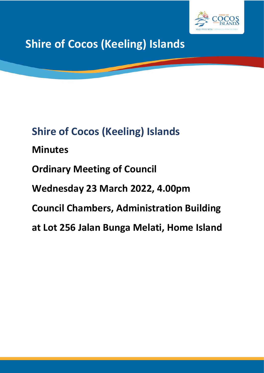

**Shire of Cocos (Keeling) Islands**

# **Shire of Cocos (Keeling) Islands**

# **Minutes**

# **Ordinary Meeting of Council**

# **Wednesday 23 March 2022, 4.00pm**

# **Council Chambers, Administration Building**

# **at Lot 256 Jalan Bunga Melati, Home Island**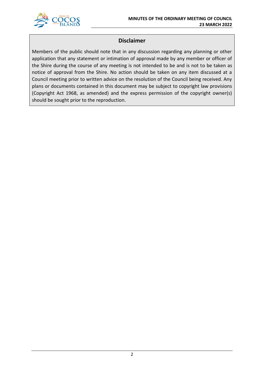

# **Disclaimer**

Members of the public should note that in any discussion regarding any planning or other application that any statement or intimation of approval made by any member or officer of the Shire during the course of any meeting is not intended to be and is not to be taken as notice of approval from the Shire. No action should be taken on any item discussed at a Council meeting prior to written advice on the resolution of the Council being received. Any plans or documents contained in this document may be subject to copyright law provisions (Copyright Act 1968, as amended) and the express permission of the copyright owner(s) should be sought prior to the reproduction.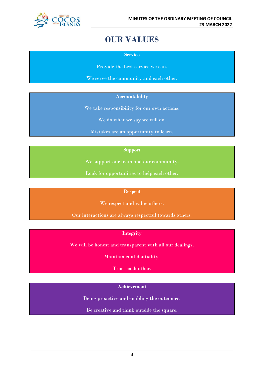

# **OUR VALUES**

**Service**

Provide the best service we can.

We serve the community and each other.

# **Accountability**

We take responsibility for our own actions.

We do what we say we will do.

Mistakes are an opportunity to learn.

# **Support**

We support our team and our community.

Look for opportunities to help each other.

# **Respect**

We respect and value others.

Our interactions are always respectful towards others.

# **Integrity**

We will be honest and transparent with all our dealings.

Maintain confidentiality.

Trust each other.

# **Achievement**

Being proactive and enabling the outcomes.

Be creative and think outside the square.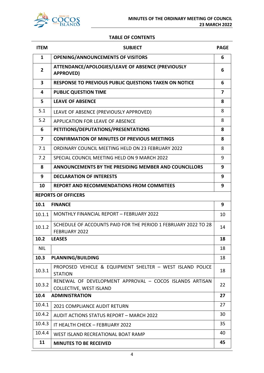

# **TABLE OF CONTENTS**

| <b>ITEM</b>             | <b>SUBJECT</b>                                                                            | <b>PAGE</b>    |  |
|-------------------------|-------------------------------------------------------------------------------------------|----------------|--|
| 1                       | <b>OPENING/ANNOUNCEMENTS OF VISITORS</b>                                                  | 6              |  |
| $\overline{2}$          | ATTENDANCE/APOLOGIES/LEAVE OF ABSENCE (PREVIOUSLY<br><b>APPROVED)</b>                     |                |  |
| 3                       | <b>RESPONSE TO PREVIOUS PUBLIC QUESTIONS TAKEN ON NOTICE</b>                              | 6              |  |
| 4                       | <b>PUBLIC QUESTION TIME</b>                                                               | $\overline{7}$ |  |
| 5                       | <b>LEAVE OF ABSENCE</b>                                                                   | 8              |  |
| 5.1                     | LEAVE OF ABSENCE (PREVIOUSLY APPROVED)                                                    | 8              |  |
| 5.2                     | APPLICATION FOR LEAVE OF ABSENCE                                                          | 8              |  |
| 6                       | PETITIONS/DEPUTATIONS/PRESENTATIONS                                                       | 8              |  |
| $\overline{\mathbf{z}}$ | <b>CONFIRMATION OF MINUTES OF PREVIOUS MEETINGS</b>                                       | 8              |  |
| 7.1                     | ORDINARY COUNCIL MEETING HELD ON 23 FEBRUARY 2022                                         | 8              |  |
| 7.2                     | SPECIAL COUNCIL MEETING HELD ON 9 MARCH 2022                                              | 9              |  |
| 8                       | <b>ANNOUNCEMENTS BY THE PRESIDING MEMBER AND COUNCILLORS</b>                              | 9              |  |
| 9                       | <b>DECLARATION OF INTERESTS</b>                                                           | 9              |  |
| 10                      | <b>REPORT AND RECOMMENDATIONS FROM COMMITEES</b>                                          | 9              |  |
|                         | <b>REPORTS OF OFFICERS</b>                                                                |                |  |
| 10.1                    | <b>FINANCE</b>                                                                            | 9              |  |
| 10.1.1                  | <b>MONTHLY FINANCIAL REPORT - FEBRUARY 2022</b>                                           | 10             |  |
| 10.1.2                  | SCHEDULE OF ACCOUNTS PAID FOR THE PERIOD 1 FEBRUARY 2022 TO 28<br>FEBRUARY 2022           | 14             |  |
| 10.2                    | <b>LEASES</b>                                                                             | 18             |  |
| <b>NIL</b>              |                                                                                           | 18             |  |
| 10.3                    | <b>PLANNING/BUILDING</b>                                                                  | 18             |  |
| 10.3.1                  | PROPOSED VEHICLE & EQUIPMENT SHELTER - WEST ISLAND POLICE<br><b>STATION</b>               | 18             |  |
| 10.3.2                  | RENEWAL OF DEVELOPMENT APPROVAL - COCOS ISLANDS ARTISAN<br><b>COLLECTIVE, WEST ISLAND</b> | 22             |  |
| 10.4                    | <b>ADMINISTRATION</b>                                                                     | 27             |  |
| 10.4.1                  | <b>2021 COMPLIANCE AUDIT RETURN</b>                                                       | 27             |  |
| 10.4.2                  | <b>AUDIT ACTIONS STATUS REPORT - MARCH 2022</b>                                           | 30             |  |
| 10.4.3                  | IT HEALTH CHECK - FEBRUARY 2022                                                           | 35             |  |
| 10.4.4                  | WEST ISLAND RECREATIONAL BOAT RAMP                                                        | 40             |  |
| 11                      | <b>MINUTES TO BE RECEIVED</b>                                                             | 45             |  |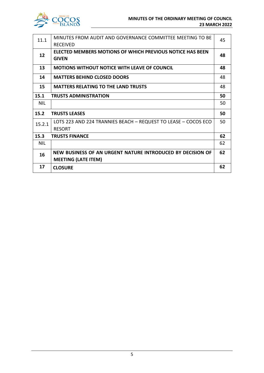

| 11.1       | MINUTES FROM AUDIT AND GOVERNANCE COMMITTEE MEETING TO BE<br><b>RECEIVED</b>             | 45 |
|------------|------------------------------------------------------------------------------------------|----|
| 12         | ELECTED MEMBERS MOTIONS OF WHICH PREVIOUS NOTICE HAS BEEN<br><b>GIVEN</b>                | 48 |
| 13         | <b>MOTIONS WITHOUT NOTICE WITH LEAVE OF COUNCIL</b>                                      | 48 |
| 14         | <b>MATTERS BEHIND CLOSED DOORS</b>                                                       | 48 |
| 15         | <b>MATTERS RELATING TO THE LAND TRUSTS</b>                                               | 48 |
| 15.1       | <b>TRUSTS ADMINISTRATION</b>                                                             | 50 |
| <b>NIL</b> |                                                                                          | 50 |
| 15.2       | <b>TRUSTS LEASES</b>                                                                     | 50 |
| 15.2.1     | LOTS 223 AND 224 TRANNIES BEACH - REQUEST TO LEASE - COCOS ECO<br><b>RESORT</b>          | 50 |
| 15.3       | <b>TRUSTS FINANCE</b>                                                                    | 62 |
| <b>NIL</b> |                                                                                          | 62 |
| 16         | NEW BUSINESS OF AN URGENT NATURE INTRODUCED BY DECISION OF<br><b>MEETING (LATE ITEM)</b> | 62 |
| 17         | <b>CLOSURE</b>                                                                           | 62 |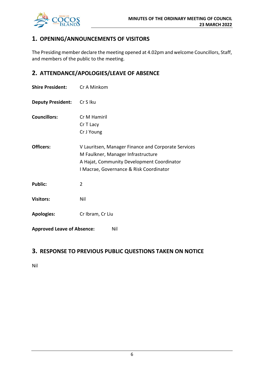

# **1. OPENING/ANNOUNCEMENTS OF VISITORS**

The Presiding member declare the meeting opened at 4.02pm and welcome Councillors, Staff, and members of the public to the meeting.

# **2. ATTENDANCE/APOLOGIES/LEAVE OF ABSENCE**

| <b>Shire President:</b>                  | Cr A Minkom                                                                                                                                                                        |  |  |
|------------------------------------------|------------------------------------------------------------------------------------------------------------------------------------------------------------------------------------|--|--|
| <b>Deputy President:</b>                 | Cr S Iku                                                                                                                                                                           |  |  |
| <b>Councillors:</b>                      | Cr M Hamiril<br>Cr T Lacy<br>Cr J Young                                                                                                                                            |  |  |
| Officers:                                | V Lauritsen, Manager Finance and Corporate Services<br>M Faulkner, Manager Infrastructure<br>A Hajat, Community Development Coordinator<br>I Macrae, Governance & Risk Coordinator |  |  |
| <b>Public:</b>                           | $\overline{2}$                                                                                                                                                                     |  |  |
| <b>Visitors:</b>                         | Nil                                                                                                                                                                                |  |  |
| <b>Apologies:</b>                        | Cr Ibram, Cr Liu                                                                                                                                                                   |  |  |
| <b>Approved Leave of Absence:</b><br>Nil |                                                                                                                                                                                    |  |  |

# **3. RESPONSE TO PREVIOUS PUBLIC QUESTIONS TAKEN ON NOTICE**

Nil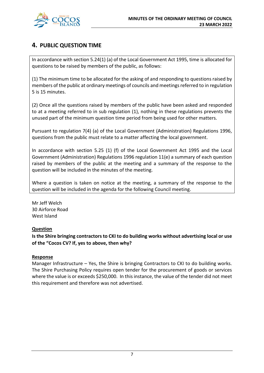

# **4. PUBLIC QUESTION TIME**

In accordance with section 5.24(1) (a) of the Local Government Act 1995, time is allocated for questions to be raised by members of the public, as follows:

(1) The minimum time to be allocated for the asking of and responding to questions raised by members of the public at ordinary meetings of councils and meetings referred to in regulation 5 is 15 minutes.

(2) Once all the questions raised by members of the public have been asked and responded to at a meeting referred to in sub regulation (1), nothing in these regulations prevents the unused part of the minimum question time period from being used for other matters.

Pursuant to regulation 7(4) (a) of the Local Government (Administration) Regulations 1996, questions from the public must relate to a matter affecting the local government.

In accordance with section 5.25 (1) (f) of the Local Government Act 1995 and the Local Government (Administration) Regulations 1996 regulation 11(e) a summary of each question raised by members of the public at the meeting and a summary of the response to the question will be included in the minutes of the meeting.

Where a question is taken on notice at the meeting, a summary of the response to the question will be included in the agenda for the following Council meeting.

Mr Jeff Welch 30 Airforce Road West Island

# **Question**

**Is the Shire bringing contractors to CKI to do building works without advertising local or use of the "Cocos CV? If, yes to above, then why?**

# **Response**

Manager Infrastructure – Yes, the Shire is bringing Contractors to CKI to do building works. The Shire Purchasing Policy requires open tender for the procurement of goods or services where the value is or exceeds \$250,000. In this instance, the value of the tender did not meet this requirement and therefore was not advertised.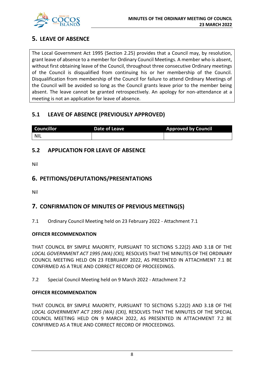

# **5. LEAVE OF ABSENCE**

The Local Government Act 1995 (Section 2.25) provides that a Council may, by resolution, grant leave of absence to a member for Ordinary Council Meetings. A member who is absent, without first obtaining leave of the Council, throughout three consecutive Ordinary meetings of the Council is disqualified from continuing his or her membership of the Council. Disqualification from membership of the Council for failure to attend Ordinary Meetings of the Council will be avoided so long as the Council grants leave prior to the member being absent. The leave cannot be granted retrospectively. An apology for non-attendance at a meeting is not an application for leave of absence.

# **5.1 LEAVE OF ABSENCE (PREVIOUSLY APPROVED)**

| <b>Councillor</b> | Date of Leave | <b>Approved by Council</b> |
|-------------------|---------------|----------------------------|
| NIL               |               |                            |

# **5.2 APPLICATION FOR LEAVE OF ABSENCE**

Nil

# **6. PETITIONS/DEPUTATIONS/PRESENTATIONS**

Nil

# **7. CONFIRMATION OF MINUTES OF PREVIOUS MEETING(S)**

7.1 Ordinary Council Meeting held on 23 February 2022 - Attachment 7.1

# **OFFICER RECOMMENDATION**

THAT COUNCIL BY SIMPLE MAJORITY, PURSUANT TO SECTIONS 5.22(2) AND 3.18 OF THE *LOCAL GOVERNMENT ACT 1995 (WA) (CKI),* RESOLVES THAT THE MINUTES OF THE ORDINARY COUNCIL MEETING HELD ON 23 FEBRUARY 2022, AS PRESENTED IN ATTACHMENT 7.1 BE CONFIRMED AS A TRUE AND CORRECT RECORD OF PROCEEDINGS.

7.2 Special Council Meeting held on 9 March 2022 - Attachment 7.2

# **OFFICER RECOMMENDATION**

THAT COUNCIL BY SIMPLE MAJORITY, PURSUANT TO SECTIONS 5.22(2) AND 3.18 OF THE *LOCAL GOVERNMENT ACT 1995 (WA) (CKI),* RESOLVES THAT THE MINUTES OF THE SPECIAL COUNCIL MEETING HELD ON 9 MARCH 2022, AS PRESENTED IN ATTACHMENT 7.2 BE CONFIRMED AS A TRUE AND CORRECT RECORD OF PROCEEDINGS.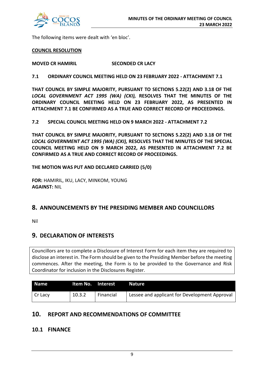

The following items were dealt with 'en bloc'.

# **COUNCIL RESOLUTION**

**MOVED CR HAMIRIL SECONDED CR LACY**

**7.1 ORDINARY COUNCIL MEETING HELD ON 23 FEBRUARY 2022 - ATTACHMENT 7.1**

**THAT COUNCIL BY SIMPLE MAJORITY, PURSUANT TO SECTIONS 5.22(2) AND 3.18 OF THE**  *LOCAL GOVERNMENT ACT 1995 (WA) (CKI),* **RESOLVES THAT THE MINUTES OF THE ORDINARY COUNCIL MEETING HELD ON 23 FEBRUARY 2022, AS PRESENTED IN ATTACHMENT 7.1 BE CONFIRMED AS A TRUE AND CORRECT RECORD OF PROCEEDINGS.**

**7.2 SPECIAL COUNCIL MEETING HELD ON 9 MARCH 2022 - ATTACHMENT 7.2**

**THAT COUNCIL BY SIMPLE MAJORITY, PURSUANT TO SECTIONS 5.22(2) AND 3.18 OF THE**  *LOCAL GOVERNMENT ACT 1995 (WA) (CKI),* **RESOLVES THAT THE MINUTES OF THE SPECIAL COUNCIL MEETING HELD ON 9 MARCH 2022, AS PRESENTED IN ATTACHMENT 7.2 BE CONFIRMED AS A TRUE AND CORRECT RECORD OF PROCEEDINGS.**

**THE MOTION WAS PUT AND DECLARED CARRIED (5/0)**

**FOR:** HAMIRIL, IKU, LACY, MINKOM, YOUNG **AGAINST:** NIL

# **8. ANNOUNCEMENTS BY THE PRESIDING MEMBER AND COUNCILLORS**

Nil

# **9. DECLARATION OF INTERESTS**

Councillors are to complete a Disclosure of Interest Form for each item they are required to disclose an interest in. The Form should be given to the Presiding Member before the meeting commences. After the meeting, the Form is to be provided to the Governance and Risk Coordinator for inclusion in the Disclosures Register.

| <b>Name</b> | Item No. Interest |           | <b>Nature</b>                                 |
|-------------|-------------------|-----------|-----------------------------------------------|
| Cr Lacy     | 10.3.2            | Financial | Lessee and applicant for Development Approval |

# **10. REPORT AND RECOMMENDATIONS OF COMMITTEE**

# **10.1 FINANCE**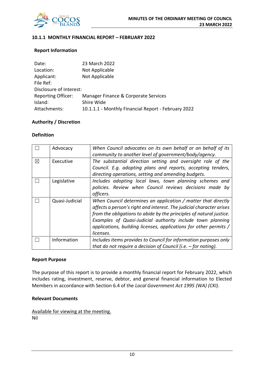

# **10.1.1 MONTHLY FINANCIAL REPORT – FEBRUARY 2022**

# **Report Information**

| Date:                     | 23 March 2022                                       |
|---------------------------|-----------------------------------------------------|
| Location:                 | Not Applicable                                      |
| Applicant:                | Not Applicable                                      |
| File Ref:                 |                                                     |
| Disclosure of Interest:   |                                                     |
| <b>Reporting Officer:</b> | Manager Finance & Corporate Services                |
| Island:                   | Shire Wide                                          |
| Attachments:              | 10.1.1.1 - Monthly Financial Report - February 2022 |

# **Authority / Discretion**

# **Definition**

|             | Advocacy       | When Council advocates on its own behalf or on behalf of its         |
|-------------|----------------|----------------------------------------------------------------------|
|             |                | community to another level of government/body/agency.                |
| $\boxtimes$ | Executive      | The substantial direction setting and oversight role of the          |
|             |                | Council. E.g. adopting plans and reports, accepting tenders,         |
|             |                | directing operations, setting and amending budgets.                  |
|             | Legislative    | Includes adopting local laws, town planning schemes and              |
|             |                | policies. Review when Council reviews decisions made by              |
|             |                | officers.                                                            |
|             | Quasi-Judicial | When Council determines an application / matter that directly        |
|             |                | affects a person's right and interest. The judicial character arises |
|             |                | from the obligations to abide by the principles of natural justice.  |
|             |                | Examples of Quasi-Judicial authority include town planning           |
|             |                | applications, building licenses, applications for other permits /    |
|             |                | licenses.                                                            |
|             | Information    | Includes items provides to Council for information purposes only     |
|             |                | that do not require a decision of Council (i.e. $-$ for noting).     |

#### **Report Purpose**

The purpose of this report is to provide a monthly financial report for February 2022, which includes rating, investment, reserve, debtor, and general financial information to Elected Members in accordance with Section 6.4 of the *Local Government Act 1995 (WA) (CKI)*.

# **Relevant Documents**

Available for viewing at the meeting. Nil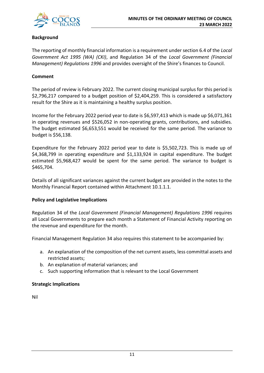

# **Background**

The reporting of monthly financial information is a requirement under section 6.4 of the *Local Government Act 1995 (WA) (CKI)*, and Regulation 34 of the *Local Government (Financial Management) Regulations 1996* and provides oversight of the Shire's finances to Council.

# **Comment**

The period of review is February 2022. The current closing municipal surplus for this period is \$2,796,217 compared to a budget position of \$2,404,259. This is considered a satisfactory result for the Shire as it is maintaining a healthy surplus position.

Income for the February 2022 period year to date is \$6,597,413 which is made up \$6,071,361 in operating revenues and \$526,052 in non-operating grants, contributions, and subsidies. The budget estimated \$6,653,551 would be received for the same period. The variance to budget is \$56,138.

Expenditure for the February 2022 period year to date is \$5,502,723. This is made up of \$4,368,799 in operating expenditure and \$1,133,924 in capital expenditure. The budget estimated \$5,968,427 would be spent for the same period. The variance to budget is \$465,704.

Details of all significant variances against the current budget are provided in the notes to the Monthly Financial Report contained within Attachment 10.1.1.1.

# **Policy and Legislative Implications**

Regulation 34 of the *Local Government (Financial Management) Regulations 1996* requires all Local Governments to prepare each month a Statement of Financial Activity reporting on the revenue and expenditure for the month.

Financial Management Regulation 34 also requires this statement to be accompanied by:

- a. An explanation of the composition of the net current assets, less committal assets and restricted assets;
- b. An explanation of material variances; and
- c. Such supporting information that is relevant to the Local Government

# **Strategic Implications**

Nil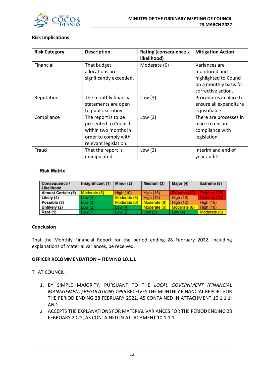

# **Risk Implications**

| <b>Risk Category</b> | <b>Description</b>      | <b>Rating (consequence x</b><br>likelihood) | <b>Mitigation Action</b> |
|----------------------|-------------------------|---------------------------------------------|--------------------------|
| Financial            | That budget             | Moderate (6)                                | Variances are            |
|                      | allocations are         |                                             | monitored and            |
|                      | significantly exceeded. |                                             | highlighted to Council   |
|                      |                         |                                             | on a monthly basis for   |
|                      |                         |                                             | corrective action.       |
| Reputation           | The monthly financial   | Low $(3)$                                   | Procedures in place to   |
|                      | statements are open     |                                             | ensure all expenditure   |
|                      | to public scrutiny.     |                                             | is justifiable.          |
| Compliance           | The report is to be     | Low $(3)$                                   | There are processes in   |
|                      | presented to Council    |                                             | place to ensure          |
|                      | within two months in    |                                             | compliance with          |
|                      | order to comply with    |                                             | legislation.             |
|                      | relevant legislation.   |                                             |                          |
| Fraud                | That the report is      | Low $(3)$                                   | Interim and end of       |
|                      | manipulated.            |                                             | year audits.             |

# **Risk Matrix**

| Consequence /<br><b>Likelihood</b> | Insignificant (1) | Minor (2)    | Medium (3)       | Major (4)        | Extreme (5)      |
|------------------------------------|-------------------|--------------|------------------|------------------|------------------|
| <b>Almost Certain (5)</b>          | Moderate (5)      | High $(10)$  | <b>High (15)</b> | Extreme (20)     | Extreme (25)     |
| Likely (4)                         | Low(4)            | Moderate (8) | High $(12)$      | <b>High (16)</b> | Extreme (20)     |
| Possible (3)                       | Low(3)            | Moderate (6) | Moderate (9)     | <b>High (12)</b> | <b>High (15)</b> |
| Unlikely (2)                       | Low(2)            | Low $(4)$    | Moderate (6)     | Moderate (8)     | <b>High (10)</b> |
| Rare (1)                           | Low(1)            | Low $(2)$    | Low $(3)$        | Low $(4)$        | Moderate (5)     |

# **Conclusion**

That the Monthly Financial Report for the period ending 28 February 2022, including explanations of material variances, be received.

# **OFFICER RECOMMENDATION – ITEM NO 10.1.1**

THAT COUNCIL:

- 1. BY SIMPLE MAJORITY, PURSUANT TO THE *LOCAL GOVERNMENT (FINANCIAL MANAGEMENT) REGULATIONS 1996* RECEIVES THE MONTHLY FINANCIAL REPORT FOR THE PERIOD ENDING 28 FEBRUARY 2022, AS CONTAINED IN ATTACHMENT 10.1.1.1; AND
- 2. ACCEPTS THE EXPLANATIONS FOR MATERIAL VARIANCES FOR THE PERIOD ENDING 28 FEBRUARY 2022, AS CONTAINED IN ATTACHMENT 10.1.1.1.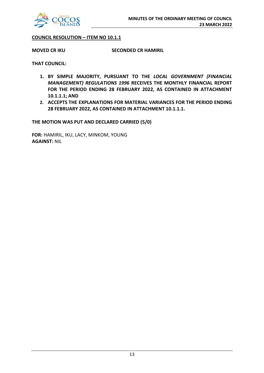

# **COUNCIL RESOLUTION – ITEM NO 10.1.1**

**MOVED CR IKU SECONDED CR HAMIRIL**

**THAT COUNCIL:**

- **1. BY SIMPLE MAJORITY, PURSUANT TO THE** *LOCAL GOVERNMENT (FINANCIAL MANAGEMENT) REGULATIONS 1996* **RECEIVES THE MONTHLY FINANCIAL REPORT FOR THE PERIOD ENDING 28 FEBRUARY 2022, AS CONTAINED IN ATTACHMENT 10.1.1.1; AND**
- **2. ACCEPTS THE EXPLANATIONS FOR MATERIAL VARIANCES FOR THE PERIOD ENDING 28 FEBRUARY 2022, AS CONTAINED IN ATTACHMENT 10.1.1.1.**

**THE MOTION WAS PUT AND DECLARED CARRIED (5/0)**

**FOR:** HAMIRIL, IKU, LACY, MINKOM, YOUNG **AGAINST:** NIL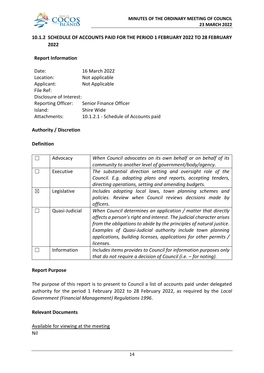

# **10.1.2 SCHEDULE OF ACCOUNTS PAID FOR THE PERIOD 1 FEBRUARY 2022 TO 28 FEBRUARY 2022**

# **Report Information**

| Date:                     | 16 March 2022                        |
|---------------------------|--------------------------------------|
| Location:                 | Not applicable                       |
| Applicant:                | Not Applicable                       |
| File Ref:                 |                                      |
| Disclosure of Interest:   |                                      |
| <b>Reporting Officer:</b> | Senior Finance Officer               |
| Island:                   | Shire Wide                           |
| Attachments:              | 10.1.2.1 - Schedule of Accounts paid |

# **Authority / Discretion**

# **Definition**

|   | Advocacy       | When Council advocates on its own behalf or on behalf of its<br>community to another level of government/body/agency.                                                                                                                                                                                                                                        |
|---|----------------|--------------------------------------------------------------------------------------------------------------------------------------------------------------------------------------------------------------------------------------------------------------------------------------------------------------------------------------------------------------|
|   | Executive      | The substantial direction setting and oversight role of the<br>Council. E.g. adopting plans and reports, accepting tenders,<br>directing operations, setting and amending budgets.                                                                                                                                                                           |
| ⊠ | Legislative    | Includes adopting local laws, town planning schemes and<br>policies. Review when Council reviews decisions made by<br>officers.                                                                                                                                                                                                                              |
|   | Quasi-Judicial | When Council determines an application / matter that directly<br>affects a person's right and interest. The judicial character arises<br>from the obligations to abide by the principles of natural justice.<br>Examples of Quasi-Judicial authority include town planning<br>applications, building licenses, applications for other permits /<br>licenses. |
|   | Information    | Includes items provides to Council for information purposes only<br>that do not require a decision of Council (i.e. $-$ for noting).                                                                                                                                                                                                                         |

#### **Report Purpose**

The purpose of this report is to present to Council a list of accounts paid under delegated authority for the period 1 February 2022 to 28 February 2022, as required by the *Local Government (Financial Management) Regulations 1996*.

# **Relevant Documents**

Available for viewing at the meeting Nil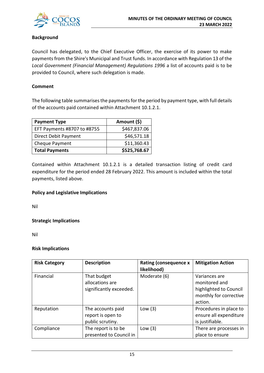

# **Background**

Council has delegated, to the Chief Executive Officer, the exercise of its power to make payments from the Shire's Municipal and Trust funds. In accordance with Regulation 13 of the *Local Government (Financial Management) Regulations 1996* a list of accounts paid is to be provided to Council, where such delegation is made.

# **Comment**

The following table summarises the payments for the period by payment type, with full details of the accounts paid contained within Attachment 10.1.2.1.

| <b>Payment Type</b>         | Amount (\$)  |
|-----------------------------|--------------|
| EFT Payments #8707 to #8755 | \$467,837.06 |
| Direct Debit Payment        | \$46,571.18  |
| Cheque Payment              | \$11,360.43  |
| <b>Total Payments</b>       | \$525,768.67 |

Contained within Attachment 10.1.2.1 is a detailed transaction listing of credit card expenditure for the period ended 28 February 2022. This amount is included within the total payments, listed above.

# **Policy and Legislative Implications**

Nil

**Strategic Implications**

Nil

# **Risk Implications**

| <b>Risk Category</b> | <b>Description</b>                                         | <b>Rating (consequence x</b><br>likelihood) | <b>Mitigation Action</b>                                                                      |
|----------------------|------------------------------------------------------------|---------------------------------------------|-----------------------------------------------------------------------------------------------|
| Financial            | That budget<br>allocations are<br>significantly exceeded.  | Moderate (6)                                | Variances are<br>monitored and<br>highlighted to Council<br>monthly for corrective<br>action. |
| Reputation           | The accounts paid<br>report is open to<br>public scrutiny. | Low $(3)$                                   | Procedures in place to<br>ensure all expenditure<br>is justifiable.                           |
| Compliance           | The report is to be<br>presented to Council in             | Low $(3)$                                   | There are processes in<br>place to ensure                                                     |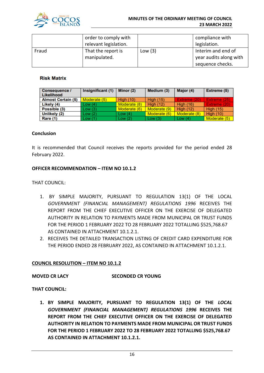

|       | order to comply with<br>relevant legislation. |           | compliance with<br>legislation.                                  |
|-------|-----------------------------------------------|-----------|------------------------------------------------------------------|
| Fraud | That the report is<br>manipulated.            | Low $(3)$ | Interim and end of<br>year audits along with<br>sequence checks. |

# **Risk Matrix**

| Consequence /<br>Likelihood | Insignificant (1) | Minor (2)        | Medium (3)       | Major (4)        | Extreme (5)      |
|-----------------------------|-------------------|------------------|------------------|------------------|------------------|
| <b>Almost Certain (5)</b>   | Moderate (5)      | <b>High (10)</b> | <b>High (15)</b> | Extreme (20)     | Extreme (25)     |
| Likely (4)                  | Low(4)            | Moderate (8)     | <b>High (12)</b> | <b>High (16)</b> | Extreme (20)     |
| Possible (3)                | Low(3)            | Moderate (6)     | Moderate (9)     | <b>High (12)</b> | <b>High (15)</b> |
| Unlikely (2)                | Low(2)            | Low $(4)$        | Moderate (6)     | Moderate (8)     | <b>High (10)</b> |
| <b>Rare (1)</b>             | Low(1)            | Low(2)           | Low(3)           | Low $(4)$        | Moderate (5)     |

# **Conclusion**

It is recommended that Council receives the reports provided for the period ended 28 February 2022.

# **OFFICER RECOMMENDATION – ITEM NO 10.1.2**

THAT COUNCIL:

- 1. BY SIMPLE MAJORITY, PURSUANT TO REGULATION 13(1) OF THE LOCAL *GOVERNMENT (FINANCIAL MANAGEMENT) REGULATIONS 1996* RECEIVES THE REPORT FROM THE CHIEF EXECUTIVE OFFICER ON THE EXERCISE OF DELEGATED AUTHORITY IN RELATION TO PAYMENTS MADE FROM MUNICIPAL OR TRUST FUNDS FOR THE PERIOD 1 FEBRUARY 2022 TO 28 FEBRUARY 2022 TOTALLING \$525,768.67 AS CONTAINED IN ATTACHMENT 10.1.2.1.
- 2. RECEIVES THE DETAILED TRANSACTION LISTING OF CREDIT CARD EXPENDITURE FOR THE PERIOD ENDED 28 FEBRUARY 2022, AS CONTAINED IN ATTACHMENT 10.1.2.1.

# **COUNCIL RESOLUTION – ITEM NO 10.1.2**

# **MOVED CR LACY SECONDED CR YOUNG**

# **THAT COUNCIL:**

**1. BY SIMPLE MAJORITY, PURSUANT TO REGULATION 13(1) OF THE** *LOCAL GOVERNMENT (FINANCIAL MANAGEMENT) REGULATIONS 1996* **RECEIVES THE REPORT FROM THE CHIEF EXECUTIVE OFFICER ON THE EXERCISE OF DELEGATED AUTHORITY IN RELATION TO PAYMENTS MADE FROM MUNICIPAL OR TRUST FUNDS FOR THE PERIOD 1 FEBRUARY 2022 TO 28 FEBRUARY 2022 TOTALLING \$525,768.67 AS CONTAINED IN ATTACHMENT 10.1.2.1.**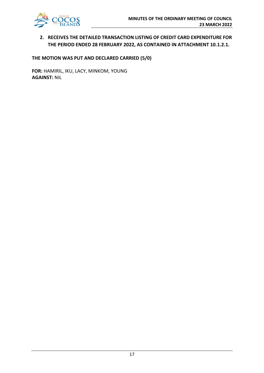

# **2. RECEIVES THE DETAILED TRANSACTION LISTING OF CREDIT CARD EXPENDITURE FOR THE PERIOD ENDED 28 FEBRUARY 2022, AS CONTAINED IN ATTACHMENT 10.1.2.1.**

**THE MOTION WAS PUT AND DECLARED CARRIED (5/0)**

**FOR:** HAMIRIL, IKU, LACY, MINKOM, YOUNG **AGAINST:** NIL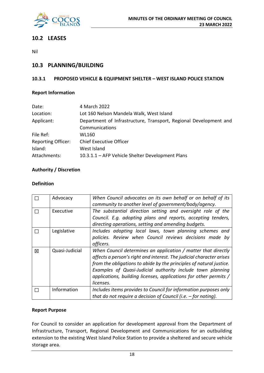

# **10.2 LEASES**

Nil

# **10.3 PLANNING/BUILDING**

# **10.3.1 PROPOSED VEHICLE & EQUIPMENT SHELTER – WEST ISLAND POLICE STATION**

# **Report Information**

| 4 March 2022                                                      |
|-------------------------------------------------------------------|
| Lot 160 Nelson Mandela Walk, West Island                          |
| Department of Infrastructure, Transport, Regional Development and |
| Communications                                                    |
| WL160                                                             |
| <b>Chief Executive Officer</b>                                    |
| West Island                                                       |
| 10.3.1.1 - AFP Vehicle Shelter Development Plans                  |
|                                                                   |

# **Authority / Discretion**

# **Definition**

|   | Advocacy       | When Council advocates on its own behalf or on behalf of its<br>community to another level of government/body/agency.                                                                                                                                                                                                                                        |
|---|----------------|--------------------------------------------------------------------------------------------------------------------------------------------------------------------------------------------------------------------------------------------------------------------------------------------------------------------------------------------------------------|
|   | Executive      | The substantial direction setting and oversight role of the<br>Council. E.g. adopting plans and reports, accepting tenders,<br>directing operations, setting and amending budgets.                                                                                                                                                                           |
|   | Legislative    | Includes adopting local laws, town planning schemes and<br>policies. Review when Council reviews decisions made by<br>officers.                                                                                                                                                                                                                              |
| 図 | Quasi-Judicial | When Council determines an application / matter that directly<br>affects a person's right and interest. The judicial character arises<br>from the obligations to abide by the principles of natural justice.<br>Examples of Quasi-Judicial authority include town planning<br>applications, building licenses, applications for other permits /<br>licenses. |
|   | Information    | Includes items provides to Council for information purposes only<br>that do not require a decision of Council (i.e. $-$ for noting).                                                                                                                                                                                                                         |

# **Report Purpose**

For Council to consider an application for development approval from the Department of Infrastructure, Transport, Regional Development and Communications for an outbuilding extension to the existing West Island Police Station to provide a sheltered and secure vehicle storage area.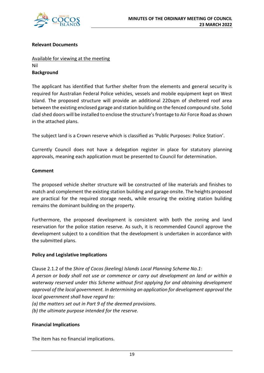

# **Relevant Documents**

# Available for viewing at the meeting Nil **Background**

The applicant has identified that further shelter from the elements and general security is required for Australian Federal Police vehicles, vessels and mobile equipment kept on West Island. The proposed structure will provide an additional 220sqm of sheltered roof area between the existing enclosed garage and station building on the fenced compound site. Solid clad shed doors will be installed to enclose the structure's frontage to Air Force Road as shown in the attached plans.

The subject land is a Crown reserve which is classified as 'Public Purposes: Police Station'.

Currently Council does not have a delegation register in place for statutory planning approvals, meaning each application must be presented to Council for determination.

# **Comment**

The proposed vehicle shelter structure will be constructed of like materials and finishes to match and complement the existing station building and garage onsite. The heights proposed are practical for the required storage needs, while ensuring the existing station building remains the dominant building on the property.

Furthermore, the proposed development is consistent with both the zoning and land reservation for the police station reserve. As such, it is recommended Council approve the development subject to a condition that the development is undertaken in accordance with the submitted plans.

# **Policy and Legislative Implications**

Clause 2.1.2 of the *Shire of Cocos (keeling) Islands Local Planning Scheme No.1*: *A person or body shall not use or commence or carry out development on land or within a waterway reserved under this Scheme without first applying for and obtaining development approval of the local government. In determining an application for development approval the local government shall have regard to:* 

*(a) the matters set out in Part 9 of the deemed provisions. (b) the ultimate purpose intended for the reserve.*

# **Financial Implications**

The item has no financial implications.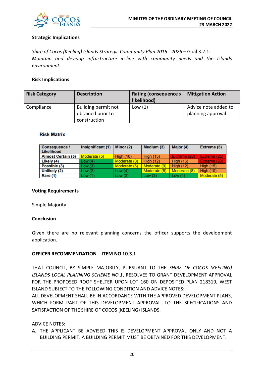

# **Strategic Implications**

*Shire of Cocos (Keeling) Islands Strategic Community Plan 2016 - 2026* – Goal 3.2.1: *Maintain and develop infrastructure in-line with community needs and the Islands environment.*

# **Risk Implications**

| <b>Risk Category</b> | <b>Description</b>                       | <b>Rating (consequence x</b><br>likelihood) | <b>Mitigation Action</b>                  |
|----------------------|------------------------------------------|---------------------------------------------|-------------------------------------------|
| Compliance           | Building permit not<br>obtained prior to | Low $(1)$                                   | Advice note added to<br>planning approval |
|                      | construction                             |                                             |                                           |

# **Risk Matrix**

| <b>Consequence /</b><br>Likelihood | Insignificant (1) | Minor (2)        | Medium (3)       | Major (4)        | Extreme (5)      |
|------------------------------------|-------------------|------------------|------------------|------------------|------------------|
| <b>Almost Certain (5)</b>          | Moderate (5)      | <b>High (10)</b> | <b>High (15)</b> | Extreme (20)     | Extreme (25)     |
| Likely (4)                         | Low(4)            | Moderate (8)     | <b>High (12)</b> | <b>High (16)</b> | Extreme (20)     |
| Possible (3)                       | Low(3)            | Moderate (6)     | Moderate (9)     | High $(12)$      | <b>High (15)</b> |
| Unlikely (2)                       | Low(2)            | Low $(4)$        | Moderate (6)     | Moderate (8)     | <b>High (10)</b> |
| Rare (1)                           | Low(1)            | Low(2)           | Low $(3)$        | Low $(4)$        | Moderate (5)     |

#### **Voting Requirements**

Simple Majority

# **Conclusion**

Given there are no relevant planning concerns the officer supports the development application.

# **OFFICER RECOMMENDATION – ITEM NO 10.3.1**

THAT COUNCIL, BY SIMPLE MAJORITY, PURSUANT TO THE *SHIRE OF COCOS (KEELING) ISLANDS LOCAL PLANNING SCHEME NO.1*, RESOLVES TO GRANT DEVELOPMENT APPROVAL FOR THE PROPOSED ROOF SHELTER UPON LOT 160 ON DEPOSITED PLAN 218319, WEST ISLAND SUBJECT TO THE FOLLOWING CONDITION AND ADVICE NOTES:

ALL DEVELOPMENT SHALL BE IN ACCORDANCE WITH THE APPROVED DEVELOPMENT PLANS, WHICH FORM PART OF THIS DEVELOPMENT APPROVAL, TO THE SPECIFICATIONS AND SATISFACTION OF THE SHIRE OF COCOS (KEELING) ISLANDS.

# ADVICE NOTES:

A. THE APPLICANT BE ADVISED THIS IS DEVELOPMENT APPROVAL ONLY AND NOT A BUILDING PERMIT. A BUILDING PERMIT MUST BE OBTAINED FOR THIS DEVELOPMENT.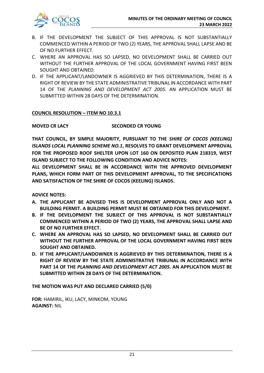

- B. IF THE DEVELOPMENT THE SUBJECT OF THIS APPROVAL IS NOT SUBSTANTIALLY COMMENCED WITHIN A PERIOD OF TWO (2) YEARS, THE APPROVAL SHALL LAPSE AND BE OF NO FURTHER EFFECT.
- C. WHERE AN APPROVAL HAS SO LAPSED, NO DEVELOPMENT SHALL BE CARRIED OUT WITHOUT THE FURTHER APPROVAL OF THE LOCAL GOVERNMENT HAVING FIRST BEEN SOUGHT AND OBTAINED.
- D. IF THE APPLICANT/LANDOWNER IS AGGRIEVED BY THIS DETERMINATION, THERE IS A RIGHT OF REVIEW BY THE STATE ADMINISTRATIVE TRIBUNAL IN ACCORDANCE WITH PART 14 OF THE *PLANNING AND DEVELOPMENT ACT 2005*. AN APPLICATION MUST BE SUBMITTED WITHIN 28 DAYS OF THE DETERMINATION.

# **COUNCIL RESOLUTION – ITEM NO 10.3.1**

# **MOVED CR LACY SECONDED CR YOUNG**

**THAT COUNCIL, BY SIMPLE MAJORITY, PURSUANT TO THE** *SHIRE OF COCOS (KEELING) ISLANDS LOCAL PLANNING SCHEME NO.1***, RESOLVES TO GRANT DEVELOPMENT APPROVAL FOR THE PROPOSED ROOF SHELTER UPON LOT 160 ON DEPOSITED PLAN 218319, WEST ISLAND SUBJECT TO THE FOLLOWING CONDITION AND ADVICE NOTES:** 

**ALL DEVELOPMENT SHALL BE IN ACCORDANCE WITH THE APPROVED DEVELOPMENT PLANS, WHICH FORM PART OF THIS DEVELOPMENT APPROVAL, TO THE SPECIFICATIONS AND SATISFACTION OF THE SHIRE OF COCOS (KEELING) ISLANDS.**

**ADVICE NOTES:** 

- **A. THE APPLICANT BE ADVISED THIS IS DEVELOPMENT APPROVAL ONLY AND NOT A BUILDING PERMIT. A BUILDING PERMIT MUST BE OBTAINED FOR THIS DEVELOPMENT.**
- **B. IF THE DEVELOPMENT THE SUBJECT OF THIS APPROVAL IS NOT SUBSTANTIALLY COMMENCED WITHIN A PERIOD OF TWO (2) YEARS, THE APPROVAL SHALL LAPSE AND BE OF NO FURTHER EFFECT.**
- **C. WHERE AN APPROVAL HAS SO LAPSED, NO DEVELOPMENT SHALL BE CARRIED OUT WITHOUT THE FURTHER APPROVAL OF THE LOCAL GOVERNMENT HAVING FIRST BEEN SOUGHT AND OBTAINED.**
- **D. IF THE APPLICANT/LANDOWNER IS AGGRIEVED BY THIS DETERMINATION, THERE IS A RIGHT OF REVIEW BY THE STATE ADMINISTRATIVE TRIBUNAL IN ACCORDANCE WITH PART 14 OF THE** *PLANNING AND DEVELOPMENT ACT 2005***. AN APPLICATION MUST BE SUBMITTED WITHIN 28 DAYS OF THE DETERMINATION.**

**THE MOTION WAS PUT AND DECLARED CARRIED (5/0)**

**FOR:** HAMIRIL, IKU, LACY, MINKOM, YOUNG **AGAINST:** NIL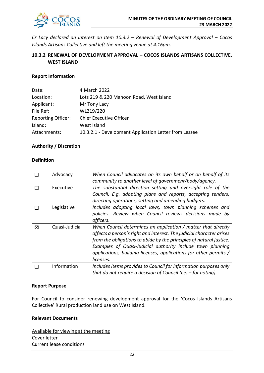

*Cr Lacy declared an interest on Item 10.3.2 – Renewal of Development Approval – Cocos Islands Artisans Collective and left the meeting venue at 4.16pm.*

# **10.3.2 RENEWAL OF DEVELOPMENT APPROVAL – COCOS ISLANDS ARTISANS COLLECTIVE, WEST ISLAND**

# **Report Information**

| Date:                     | 4 March 2022                                          |
|---------------------------|-------------------------------------------------------|
| Location:                 | Lots 219 & 220 Mahoon Road, West Island               |
| Applicant:                | Mr Tony Lacy                                          |
| File Ref:                 | WL219/220                                             |
| <b>Reporting Officer:</b> | <b>Chief Executive Officer</b>                        |
| Island:                   | West Island                                           |
| Attachments:              | 10.3.2.1 - Development Application Letter from Lessee |

# **Authority / Discretion**

# **Definition**

|   | Advocacy       | When Council advocates on its own behalf or on behalf of its<br>community to another level of government/body/agency.                                                                                                                                                                                                                                        |
|---|----------------|--------------------------------------------------------------------------------------------------------------------------------------------------------------------------------------------------------------------------------------------------------------------------------------------------------------------------------------------------------------|
|   | Executive      | The substantial direction setting and oversight role of the<br>Council. E.g. adopting plans and reports, accepting tenders,<br>directing operations, setting and amending budgets.                                                                                                                                                                           |
|   | Legislative    | Includes adopting local laws, town planning schemes and<br>policies. Review when Council reviews decisions made by<br>officers.                                                                                                                                                                                                                              |
| 冈 | Quasi-Judicial | When Council determines an application / matter that directly<br>affects a person's right and interest. The judicial character arises<br>from the obligations to abide by the principles of natural justice.<br>Examples of Quasi-Judicial authority include town planning<br>applications, building licenses, applications for other permits /<br>licenses. |
|   | Information    | Includes items provides to Council for information purposes only<br>that do not require a decision of Council (i.e. $-$ for noting).                                                                                                                                                                                                                         |

#### **Report Purpose**

For Council to consider renewing development approval for the 'Cocos Islands Artisans Collective' Rural production land use on West Island.

# **Relevant Documents**

Available for viewing at the meeting Cover letter Current lease conditions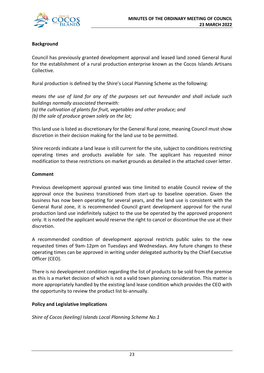

# **Background**

Council has previously granted development approval and leased land zoned General Rural for the establishment of a rural production enterprise known as the Cocos Islands Artisans Collective.

Rural production is defined by the Shire's Local Planning Scheme as the following:

*means the use of land for any of the purposes set out hereunder and shall include such buildings normally associated therewith: (a) the cultivation of plants for fruit, vegetables and other produce; and (b) the sale of produce grown solely on the lot;*

This land use is listed as discretionary for the General Rural zone, meaning Council must show discretion in their decision making for the land use to be permitted.

Shire records indicate a land lease is still current for the site, subject to conditions restricting operating times and products available for sale. The applicant has requested minor modification to these restrictions on market grounds as detailed in the attached cover letter.

# **Comment**

Previous development approval granted was time limited to enable Council review of the approval once the business transitioned from start-up to baseline operation. Given the business has now been operating for several years, and the land use is consistent with the General Rural zone, it is recommended Council grant development approval for the rural production land use indefinitely subject to the use be operated by the approved proponent only. It is noted the applicant would reserve the right to cancel or discontinue the use at their discretion.

A recommended condition of development approval restricts public sales to the new requested times of 9am-12pm on Tuesdays and Wednesdays. Any future changes to these operating times can be approved in writing under delegated authority by the Chief Executive Officer (CEO).

There is no development condition regarding the list of products to be sold from the premise as this is a market decision of which is not a valid town planning consideration. This matter is more appropriately handled by the existing land lease condition which provides the CEO with the opportunity to review the product list bi-annually.

# **Policy and Legislative Implications**

*Shire of Cocos (keeling) Islands Local Planning Scheme No.1*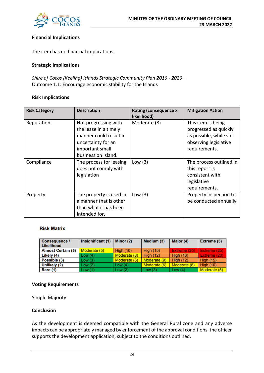

# **Financial Implications**

The item has no financial implications.

# **Strategic Implications**

*Shire of Cocos (Keeling) Islands Strategic Community Plan 2016 - 2026* – Outcome 1.1: Encourage economic stability for the Islands

# **Risk Implications**

| <b>Risk Category</b> | <b>Description</b>                                                                                                                      | <b>Rating (consequence x</b><br>likelihood) | <b>Mitigation Action</b>                                                                                          |
|----------------------|-----------------------------------------------------------------------------------------------------------------------------------------|---------------------------------------------|-------------------------------------------------------------------------------------------------------------------|
| Reputation           | Not progressing with<br>the lease in a timely<br>manner could result in<br>uncertainty for an<br>important small<br>business on Island. | Moderate (8)                                | This item is being<br>progressed as quickly<br>as possible, while still<br>observing legislative<br>requirements. |
| Compliance           | The process for leasing<br>does not comply with<br>legislation                                                                          | Low $(3)$                                   | The process outlined in<br>this report is<br>consistent with<br>legislative<br>requirements.                      |
| Property             | The property is used in<br>a manner that is other<br>than what it has been<br>intended for.                                             | Low $(3)$                                   | Property inspection to<br>be conducted annually                                                                   |

# **Risk Matrix**

| Consequence /<br>Likelihood | Insignificant (1) | Minor (2)        | Medium (3)       | Major (4)        | Extreme (5)      |
|-----------------------------|-------------------|------------------|------------------|------------------|------------------|
| <b>Almost Certain (5)</b>   | Moderate (5)      | <b>High (10)</b> | <b>High (15)</b> | Extreme (20)     | Extreme (25)     |
| Likely (4)                  | Low(4)            | Moderate (8)     | <b>High (12)</b> | <b>High (16)</b> | Extreme (20)     |
| Possible (3)                | Low(3)            | Moderate (6)     | Moderate (9)     | <b>High (12)</b> | <b>High (15)</b> |
| Unlikely (2)                | Low (2)           | Low $(4)$        | Moderate (6)     | Moderate (8)     | <b>High (10)</b> |
| Rare (1)                    | Low (1)           | Low(2)           | Low(3)           | Low $(4)$        | Moderate (5)     |

#### **Voting Requirements**

Simple Majority

# **Conclusion**

As the development is deemed compatible with the General Rural zone and any adverse impacts can be appropriately managed by enforcement of the approval conditions, the officer supports the development application, subject to the conditions outlined.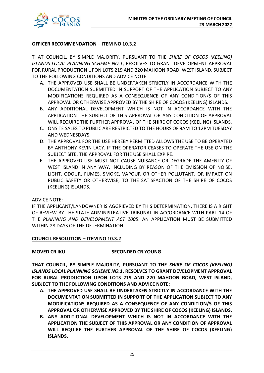

# **OFFICER RECOMMENDATION – ITEM NO 10.3.2**

THAT COUNCIL, BY SIMPLE MAJORITY, PURSUANT TO THE *SHIRE OF COCOS (KEELING) ISLANDS LOCAL PLANNING SCHEME NO.1*, RESOLVES TO GRANT DEVELOPMENT APPROVAL FOR RURAL PRODUCTION UPON LOTS 219 AND 220 MAHOON ROAD, WEST ISLAND, SUBJECT TO THE FOLLOWING CONDITIONS AND ADVICE NOTE:

- A. THE APPROVED USE SHALL BE UNDERTAKEN STRICTLY IN ACCORDANCE WITH THE DOCUMENTATION SUBMITTED IN SUPPORT OF THE APPLICATION SUBJECT TO ANY MODIFICATIONS REQUIRED AS A CONSEQUENCE OF ANY CONDITION/S OF THIS APPROVAL OR OTHERWISE APPROVED BY THE SHIRE OF COCOS (KEELING) ISLANDS.
- B. ANY ADDITIONAL DEVELOPMENT WHICH IS NOT IN ACCORDANCE WITH THE APPLICATION THE SUBJECT OF THIS APPROVAL OR ANY CONDITION OF APPROVAL WILL REQUIRE THE FURTHER APPROVAL OF THE SHIRE OF COCOS (KEELING) ISLANDS.
- C. ONSITE SALES TO PUBLIC ARE RESTRICTED TO THE HOURS OF 9AM TO 12PM TUESDAY AND WEDNESDAYS.
- D. THE APPROVAL FOR THE USE HEREBY PERMITTED ALLOWS THE USE TO BE OPERATED BY ANTHONY KEVIN LACY. IF THE OPERATOR CEASES TO OPERATE THE USE ON THE SUBJECT SITE, THE APPROVAL FOR THE USE SHALL EXPIRE.
- E. THE APPROVED USE MUST NOT CAUSE NUISANCE OR DEGRADE THE AMENITY OF WEST ISLAND IN ANY WAY, INCLUDING BY REASON OF THE EMISSION OF NOISE, LIGHT, ODOUR, FUMES, SMOKE, VAPOUR OR OTHER POLLUTANT, OR IMPACT ON PUBLIC SAFETY OR OTHERWISE; TO THE SATISFACTION OF THE SHIRE OF COCOS (KEELING) ISLANDS.

#### ADVICE NOTE:

IF THE APPLICANT/LANDOWNER IS AGGRIEVED BY THIS DETERMINATION, THERE IS A RIGHT OF REVIEW BY THE STATE ADMINISTRATIVE TRIBUNAL IN ACCORDANCE WITH PART 14 OF THE *PLANNING AND DEVELOPMENT ACT 2005*. AN APPLICATION MUST BE SUBMITTED WITHIN 28 DAYS OF THE DETERMINATION.

# **COUNCIL RESOLUTION – ITEM NO 10.3.2**

# **MOVED CR IKU SECONDED CR YOUNG**

**THAT COUNCIL, BY SIMPLE MAJORITY, PURSUANT TO THE** *SHIRE OF COCOS (KEELING) ISLANDS LOCAL PLANNING SCHEME NO.1***, RESOLVES TO GRANT DEVELOPMENT APPROVAL FOR RURAL PRODUCTION UPON LOTS 219 AND 220 MAHOON ROAD, WEST ISLAND, SUBJECT TO THE FOLLOWING CONDITIONS AND ADVICE NOTE:** 

- **A. THE APPROVED USE SHALL BE UNDERTAKEN STRICTLY IN ACCORDANCE WITH THE DOCUMENTATION SUBMITTED IN SUPPORT OF THE APPLICATION SUBJECT TO ANY MODIFICATIONS REQUIRED AS A CONSEQUENCE OF ANY CONDITION/S OF THIS APPROVAL OR OTHERWISE APPROVED BY THE SHIRE OF COCOS (KEELING) ISLANDS.**
- **B. ANY ADDITIONAL DEVELOPMENT WHICH IS NOT IN ACCORDANCE WITH THE APPLICATION THE SUBJECT OF THIS APPROVAL OR ANY CONDITION OF APPROVAL WILL REQUIRE THE FURTHER APPROVAL OF THE SHIRE OF COCOS (KEELING) ISLANDS.**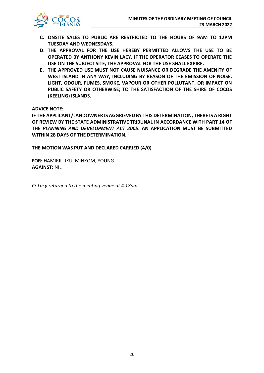

- **C. ONSITE SALES TO PUBLIC ARE RESTRICTED TO THE HOURS OF 9AM TO 12PM TUESDAY AND WEDNESDAYS.**
- **D. THE APPROVAL FOR THE USE HEREBY PERMITTED ALLOWS THE USE TO BE OPERATED BY ANTHONY KEVIN LACY. IF THE OPERATOR CEASES TO OPERATE THE USE ON THE SUBJECT SITE, THE APPROVAL FOR THE USE SHALL EXPIRE.**
- **E. THE APPROVED USE MUST NOT CAUSE NUISANCE OR DEGRADE THE AMENITY OF WEST ISLAND IN ANY WAY, INCLUDING BY REASON OF THE EMISSION OF NOISE, LIGHT, ODOUR, FUMES, SMOKE, VAPOUR OR OTHER POLLUTANT, OR IMPACT ON PUBLIC SAFETY OR OTHERWISE; TO THE SATISFACTION OF THE SHIRE OF COCOS (KEELING) ISLANDS.**

# **ADVICE NOTE:**

**IF THE APPLICANT/LANDOWNER IS AGGRIEVED BY THIS DETERMINATION, THERE IS A RIGHT OF REVIEW BY THE STATE ADMINISTRATIVE TRIBUNAL IN ACCORDANCE WITH PART 14 OF THE** *PLANNING AND DEVELOPMENT ACT 2005***. AN APPLICATION MUST BE SUBMITTED WITHIN 28 DAYS OF THE DETERMINATION.**

**THE MOTION WAS PUT AND DECLARED CARRIED (4/0)**

**FOR:** HAMIRIL, IKU, MINKOM, YOUNG **AGAINST:** NIL

*Cr Lacy returned to the meeting venue at 4.18pm.*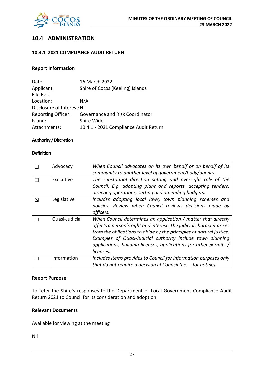

# **10.4 ADMINISTRATION**

# **10.4.1 2021 COMPLIANCE AUDIT RETURN**

# **Report Information**

| Date:                       | 16 March 2022                         |
|-----------------------------|---------------------------------------|
| Applicant:                  | Shire of Cocos (Keeling) Islands      |
| File Ref:                   |                                       |
| Location:                   | N/A                                   |
| Disclosure of Interest: Nil |                                       |
| <b>Reporting Officer:</b>   | Governance and Risk Coordinator       |
| Island:                     | Shire Wide                            |
| Attachments:                | 10.4.1 - 2021 Compliance Audit Return |

# **Authority / Discretion**

#### **Definition**

|   | Advocacy       | When Council advocates on its own behalf or on behalf of its<br>community to another level of government/body/agency.                                                                                                                                                                                                                                        |
|---|----------------|--------------------------------------------------------------------------------------------------------------------------------------------------------------------------------------------------------------------------------------------------------------------------------------------------------------------------------------------------------------|
|   | Executive      | The substantial direction setting and oversight role of the<br>Council. E.g. adopting plans and reports, accepting tenders,<br>directing operations, setting and amending budgets.                                                                                                                                                                           |
| 冈 | Legislative    | Includes adopting local laws, town planning schemes and<br>policies. Review when Council reviews decisions made by<br>officers.                                                                                                                                                                                                                              |
|   | Quasi-Judicial | When Council determines an application / matter that directly<br>affects a person's right and interest. The judicial character arises<br>from the obligations to abide by the principles of natural justice.<br>Examples of Quasi-Judicial authority include town planning<br>applications, building licenses, applications for other permits /<br>licenses. |
|   | Information    | Includes items provides to Council for information purposes only<br>that do not require a decision of Council (i.e. $-$ for noting).                                                                                                                                                                                                                         |

#### **Report Purpose**

To refer the Shire's responses to the Department of Local Government Compliance Audit Return 2021 to Council for its consideration and adoption.

# **Relevant Documents**

# Available for viewing at the meeting

Nil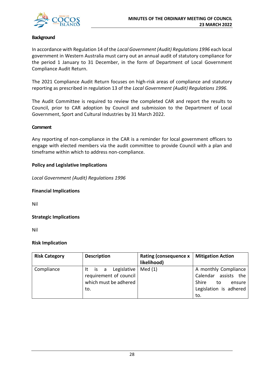

# **Background**

In accordance with Regulation 14 of the *Local Government (Audit) Regulations 1996* each local government in Western Australia must carry out an annual audit of statutory compliance for the period 1 January to 31 December, in the form of Department of Local Government Compliance Audit Return.

The 2021 Compliance Audit Return focuses on high-risk areas of compliance and statutory reporting as prescribed in regulation 13 of the *Local Government (Audit) Regulations 1996.*

The Audit Committee is required to review the completed CAR and report the results to Council, prior to CAR adoption by Council and submission to the Department of Local Government, Sport and Cultural Industries by 31 March 2022.

# **Comment**

Any reporting of non-compliance in the CAR is a reminder for local government officers to engage with elected members via the audit committee to provide Council with a plan and timeframe within which to address non-compliance.

# **Policy and Legislative Implications**

*Local Government (Audit) Regulations 1996*

# **Financial Implications**

Nil

# **Strategic Implications**

Nil

# **Risk Implication**

| <b>Risk Category</b> | <b>Description</b>     | <b>Rating (consequence x</b> | <b>Mitigation Action</b> |
|----------------------|------------------------|------------------------------|--------------------------|
|                      |                        | likelihood)                  |                          |
| Compliance           | It is a Legislative    | Med(1)                       | A monthly Compliance     |
|                      | requirement of council |                              | Calendar assists the     |
|                      | which must be adhered  |                              | Shire<br>to<br>ensure    |
|                      | to.                    |                              | Legislation is adhered   |
|                      |                        |                              | to.                      |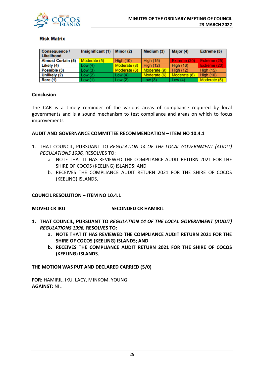

# **Risk Matrix**

| <b>Consequence /</b><br>Likelihood | Insignificant (1) | Minor (2)        | Medium (3)       | Major (4)        | Extreme (5)      |
|------------------------------------|-------------------|------------------|------------------|------------------|------------------|
| <b>Almost Certain (5)</b>          | Moderate (5)      | <b>High (10)</b> | <b>High (15)</b> | Extreme (20)     | Extreme (25)     |
| Likely (4)                         | Low(4)            | Moderate (8)     | High $(12)$      | <b>High (16)</b> | Extreme (20)     |
| Possible (3)                       | Low(3)            | Moderate (6)     | Moderate (9)     | High $(12)$      | <b>High (15)</b> |
| Unlikely (2)                       | Low(2)            | Low(4)           | Moderate (6)     | Moderate (8)     | <b>High (10)</b> |
| Rare (1)                           | Low(1)            | Low $(2)$        | Low $(3)$        | Low $(4)$        | Moderate (5)     |

# **Conclusion**

The CAR is a timely reminder of the various areas of compliance required by local governments and is a sound mechanism to test compliance and areas on which to focus improvements

# **AUDIT AND GOVERNANCE COMMITTEE RECOMMENDATION – ITEM NO 10.4.1**

- 1. THAT COUNCIL, PURSUANT TO *REGULATION 14 OF THE LOCAL GOVERNMENT (AUDIT) REGULATIONS 1996,* RESOLVES TO:
	- a. NOTE THAT IT HAS REVIEWED THE COMPLIANCE AUDIT RETURN 2021 FOR THE SHIRE OF COCOS (KEELING) ISLANDS; AND
	- b. RECEIVES THE COMPLIANCE AUDIT RETURN 2021 FOR THE SHIRE OF COCOS (KEELING) ISLANDS.

# **COUNCIL RESOLUTION – ITEM NO 10.4.1**

# **MOVED CR IKU SECONDED CR HAMIRIL**

- **1. THAT COUNCIL, PURSUANT TO** *REGULATION 14 OF THE LOCAL GOVERNMENT (AUDIT) REGULATIONS 1996,* **RESOLVES TO:**
	- **a. NOTE THAT IT HAS REVIEWED THE COMPLIANCE AUDIT RETURN 2021 FOR THE SHIRE OF COCOS (KEELING) ISLANDS; AND**
	- **b. RECEIVES THE COMPLIANCE AUDIT RETURN 2021 FOR THE SHIRE OF COCOS (KEELING) ISLANDS.**

# **THE MOTION WAS PUT AND DECLARED CARRIED (5/0)**

**FOR:** HAMIRIL, IKU, LACY, MINKOM, YOUNG **AGAINST:** NIL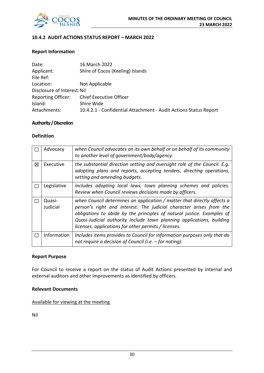

# **10.4.2 AUDIT ACTIONS STATUS REPORT – MARCH 2022**

# **Report Information**

| Date:                       | 16 March 2022                                                    |  |  |
|-----------------------------|------------------------------------------------------------------|--|--|
| Applicant:                  | Shire of Cocos (Keeling) Islands                                 |  |  |
| File Ref:                   |                                                                  |  |  |
| Location:                   | Not Applicable                                                   |  |  |
| Disclosure of Interest: Nil |                                                                  |  |  |
| <b>Reporting Officer:</b>   | <b>Chief Executive Officer</b>                                   |  |  |
| Island:                     | Shire Wide                                                       |  |  |
| Attachments:                | 10.4.2.1 - Confidential Attachment - Audit Actions Status Report |  |  |

# **Authority / Discretion**

# **Definition**

|   | Advocacy           | when Council advocates on its own behalf or on behalf of its community<br>to another level of government/body/agency.                                                                                                                                                                                                                                     |
|---|--------------------|-----------------------------------------------------------------------------------------------------------------------------------------------------------------------------------------------------------------------------------------------------------------------------------------------------------------------------------------------------------|
| 冈 | Executive          | the substantial direction setting and oversight role of the Council. E.g.<br>adopting plans and reports, accepting tenders, directing operations,<br>setting and amending budgets.                                                                                                                                                                        |
|   | Legislative        | includes adopting local laws, town planning schemes and policies.<br>Review when Council reviews decisions made by officers.                                                                                                                                                                                                                              |
|   | Quasi-<br>Judicial | when Council determines an application / matter that directly affects a<br>person's right and interest. The judicial character arises from the<br>obligations to abide by the principles of natural justice. Examples of<br>Quasi-Judicial authority include town planning applications, building<br>licenses, applications for other permits / licenses. |
|   | Information        | Includes items provides to Council for information purposes only that do<br>not require a decision of Council (i.e. – for noting).                                                                                                                                                                                                                        |

#### **Report Purpose**

For Council to receive a report on the status of Audit Actions presented by internal and external auditors and other improvements as identified by officers.

# **Relevant Documents**

Available for viewing at the meeting

Nil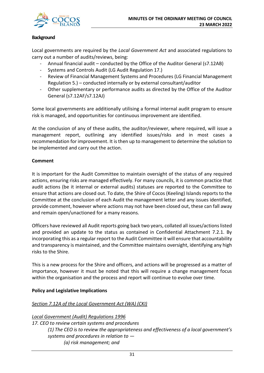

# **Background**

Local governments are required by the *Local Government Act* and associated regulations to carry out a number of audits/reviews, being:

- Annual financial audit conducted by the Office of the Auditor General (s7.12AB)
- Systems and Controls Audit (LG Audit Regulation 17.)
- Review of Financial Management Systems and Procedures (LG Financial Management Regulation 5.) – conducted internally or by external consultant/auditor
- Other supplementary or performance audits as directed by the Office of the Auditor General (s7.12AF/s7.12AJ)

Some local governments are additionally utilising a formal internal audit program to ensure risk is managed, and opportunities for continuous improvement are identified.

At the conclusion of any of these audits, the auditor/reviewer, where required, will issue a management report, outlining any identified issues/risks and in most cases a recommendation for improvement. It is then up to management to determine the solution to be implemented and carry out the action.

# **Comment**

It is important for the Audit Committee to maintain oversight of the status of any required actions, ensuring risks are managed effectively. For many councils, it is common practice that audit actions (be it internal or external audits) statuses are reported to the Committee to ensure that actions are closed out. To date, the Shire of Cocos (Keeling) Islands reports to the Committee at the conclusion of each Audit the management letter and any issues identified, provide comment, however where actions may not have been closed out, these can fall away and remain open/unactioned for a many reasons.

Officers have reviewed all Audit reports going back two years, collated all issues/actions listed and provided an update to the status as contained in Confidential Attachment 7.2.1. By incorporating this as a regular report to the Audit Committee it will ensure that accountability and transparency is maintained, and the Committee maintains oversight, identifying any high risks to the Shire.

This is a new process for the Shire and officers, and actions will be progressed as a matter of importance, however it must be noted that this will require a change management focus within the organisation and the process and report will continue to evolve over time.

# **Policy and Legislative Implications**

# *Section 7.12A of the Local Government Act (WA) (CKI)*

*Local Government (Audit) Regulations 1996 17. CEO to review certain systems and procedures (1) The CEO is to review the appropriateness and effectiveness of a local government's systems and procedures in relation to — (a) risk management; and*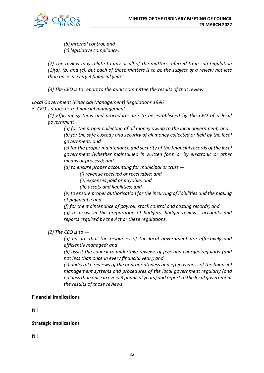

*(b) internal control; and (c) legislative compliance.* 

*(2) The review may relate to any or all of the matters referred to in sub regulation (1)(a), (b) and (c), but each of those matters is to be the subject of a review not less than once in every 3 financial years.*

*(3) The CEO is to report to the audit committee the results of that review.*

# *Local Government (Financial Management) Regulations 1996*

# *5. CEO's duties as to financial management*

*(1) Efficient systems and procedures are to be established by the CEO of a local government —*

*(a) for the proper collection of all money owing to the local government; and (b) for the safe custody and security of all money collected or held by the local government; and* 

*(c) for the proper maintenance and security of the financial records of the local government (whether maintained in written form or by electronic or other means or process); and* 

*(d) to ensure proper accounting for municipal or trust —*

*(i) revenue received or receivable; and* 

*(ii) expenses paid or payable; and* 

*(iii) assets and liabilities; and* 

*(e) to ensure proper authorisation for the incurring of liabilities and the making of payments; and* 

*(f) for the maintenance of payroll, stock control and costing records; and (g) to assist in the preparation of budgets, budget reviews, accounts and reports required by the Act or these regulations.*

*(2) The CEO is to —*

*(a) ensure that the resources of the local government are effectively and efficiently managed; and* 

*(b) assist the council to undertake reviews of fees and charges regularly (and not less than once in every financial year); and* 

*(c) undertake reviews of the appropriateness and effectiveness of the financial management systems and procedures of the local government regularly (and not less than once in every 3 financial years) and report to the local government the results of those reviews.*

# **Financial Implications**

Nil

# **Strategic Implications**

Nil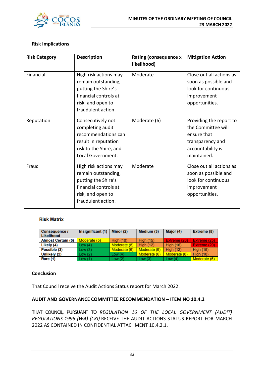

# **Risk Implications**

| <b>Risk Category</b> | <b>Description</b>                                                                                                                      | Rating (consequence x<br>likelihood) | <b>Mitigation Action</b>                                                                                             |
|----------------------|-----------------------------------------------------------------------------------------------------------------------------------------|--------------------------------------|----------------------------------------------------------------------------------------------------------------------|
| Financial            | High risk actions may<br>remain outstanding,<br>putting the Shire's<br>financial controls at<br>risk, and open to<br>fraudulent action. | Moderate                             | Close out all actions as<br>soon as possible and<br>look for continuous<br>improvement<br>opportunities.             |
| Reputation           | Consecutively not<br>completing audit<br>recommendations can<br>result in reputation<br>risk to the Shire, and<br>Local Government.     | Moderate (6)                         | Providing the report to<br>the Committee will<br>ensure that<br>transparency and<br>accountability is<br>maintained. |
| Fraud                | High risk actions may<br>remain outstanding,<br>putting the Shire's<br>financial controls at<br>risk, and open to<br>fraudulent action. | Moderate                             | Close out all actions as<br>soon as possible and<br>look for continuous<br>improvement<br>opportunities.             |

#### **Risk Matrix**

| <b>Consequence /</b><br>Likelihood | Insignificant (1) | Minor $(2)$      | Medium (3)       | Major (4)        | Extreme (5)      |
|------------------------------------|-------------------|------------------|------------------|------------------|------------------|
| <b>Almost Certain (5)</b>          | Moderate (5)      | <b>High (10)</b> | <b>High (15)</b> | Extreme (20)     | Extreme (25)     |
| Likely (4)                         | Low(4)            | Moderate (8)     | <b>High (12)</b> | <b>High (16)</b> | Extreme (20)     |
| Possible (3)                       | Low(3)            | Moderate (6)     | Moderate (9)     | High $(12)$      | <b>High (15)</b> |
| Unlikely (2)                       | Low(2)            | Low $(4)$        | Moderate (6)     | Moderate (8)     | <b>High (10)</b> |
| Rare (1)                           | Low (1)           | Low(2)           | Low(3)           | Low $(4)$        | Moderate (5)     |

# **Conclusion**

That Council receive the Audit Actions Status report for March 2022.

# **AUDIT AND GOVERNANCE COMMITTEE RECOMMENDATION – ITEM NO 10.4.2**

THAT COUNCIL, PURSUANT TO *REGULATION 16 OF THE LOCAL GOVERNMENT (AUDIT) REGULATIONS 1996 (WA) (CKI)* RECEIVE THE AUDIT ACTIONS STATUS REPORT FOR MARCH 2022 AS CONTAINED IN CONFIDENTIAL ATTACHMENT 10.4.2.1.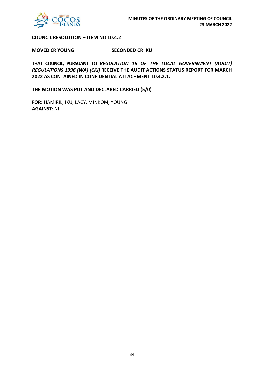

# **COUNCIL RESOLUTION – ITEM NO 10.4.2**

**MOVED CR YOUNG SECONDED CR IKU**

**THAT COUNCIL, PURSUANT TO** *REGULATION 16 OF THE LOCAL GOVERNMENT (AUDIT) REGULATIONS 1996 (WA) (CKI)* **RECEIVE THE AUDIT ACTIONS STATUS REPORT FOR MARCH 2022 AS CONTAINED IN CONFIDENTIAL ATTACHMENT 10.4.2.1.**

**THE MOTION WAS PUT AND DECLARED CARRIED (5/0)**

**FOR:** HAMIRIL, IKU, LACY, MINKOM, YOUNG **AGAINST:** NIL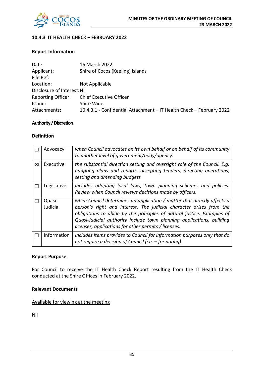

# **10.4.3 IT HEALTH CHECK – FEBRUARY 2022**

# **Report Information**

| Date:                       | 16 March 2022                                                        |
|-----------------------------|----------------------------------------------------------------------|
| Applicant:                  | Shire of Cocos (Keeling) Islands                                     |
| File Ref:                   |                                                                      |
| Location:                   | Not Applicable                                                       |
| Disclosure of Interest: Nil |                                                                      |
| <b>Reporting Officer:</b>   | <b>Chief Executive Officer</b>                                       |
| Island:                     | Shire Wide                                                           |
| Attachments:                | 10.4.3.1 - Confidential Attachment - IT Health Check - February 2022 |

# **Authority / Discretion**

# **Definition**

|   | Advocacy           | when Council advocates on its own behalf or on behalf of its community<br>to another level of government/body/agency.                                                                                                                                                                                                                                     |
|---|--------------------|-----------------------------------------------------------------------------------------------------------------------------------------------------------------------------------------------------------------------------------------------------------------------------------------------------------------------------------------------------------|
| 区 | Executive          | the substantial direction setting and oversight role of the Council. E.g.<br>adopting plans and reports, accepting tenders, directing operations,<br>setting and amending budgets.                                                                                                                                                                        |
|   | Legislative        | includes adopting local laws, town planning schemes and policies.<br>Review when Council reviews decisions made by officers.                                                                                                                                                                                                                              |
|   | Quasi-<br>Judicial | when Council determines an application / matter that directly affects a<br>person's right and interest. The judicial character arises from the<br>obligations to abide by the principles of natural justice. Examples of<br>Quasi-Judicial authority include town planning applications, building<br>licenses, applications for other permits / licenses. |
| П | Information        | Includes items provides to Council for information purposes only that do<br>not require a decision of Council (i.e. $-$ for noting).                                                                                                                                                                                                                      |

# **Report Purpose**

For Council to receive the IT Health Check Report resulting from the IT Health Check conducted at the Shire Offices in February 2022.

# **Relevant Documents**

Available for viewing at the meeting

Nil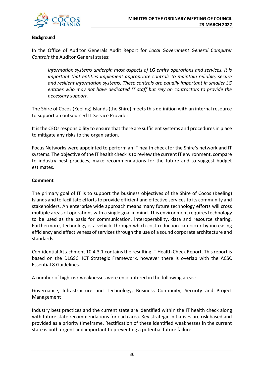

# **Background**

In the Office of Auditor Generals Audit Report for *Local Government General Computer Controls* the Auditor General states:

*Information systems underpin most aspects of LG entity operations and services. It is important that entities implement appropriate controls to maintain reliable, secure and resilient information systems. These controls are equally important in smaller LG entities who may not have dedicated IT staff but rely on contractors to provide the necessary support.*

The Shire of Cocos (Keeling) Islands (the Shire) meets this definition with an internal resource to support an outsourced IT Service Provider.

It is the CEOs responsibility to ensure that there are sufficient systems and procedures in place to mitigate any risks to the organisation.

Focus Networks were appointed to perform an IT health check for the Shire's network and IT systems. The objective of the IT health check is to review the current IT environment, compare to industry best practices, make recommendations for the future and to suggest budget estimates.

# **Comment**

The primary goal of IT is to support the business objectives of the Shire of Cocos (Keeling) Islands and to facilitate efforts to provide efficient and effective services to its community and stakeholders. An enterprise wide approach means many future technology efforts will cross multiple areas of operations with a single goal in mind. This environment requires technology to be used as the basis for communication, interoperability, data and resource sharing. Furthermore, technology is a vehicle through which cost reduction can occur by increasing efficiency and effectiveness of services through the use of a sound corporate architecture and standards.

Confidential Attachment 10.4.3.1 contains the resulting IT Health Check Report. This report is based on the DLGSCI ICT Strategic Framework, however there is overlap with the ACSC Essential 8 Guidelines.

A number of high-risk weaknesses were encountered in the following areas:

Governance, Infrastructure and Technology, Business Continuity, Security and Project Management

Industry best practices and the current state are identified within the IT health check along with future state recommendations for each area. Key strategic initiatives are risk based and provided as a priority timeframe. Rectification of these identified weaknesses in the current state is both urgent and important to preventing a potential future failure.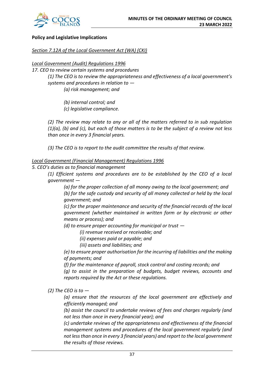

# **Policy and Legislative Implications**

# *Section 7.12A of the Local Government Act (WA) (CKI)*

*Local Government (Audit) Regulations 1996* 

*17. CEO to review certain systems and procedures (1) The CEO is to review the appropriateness and effectiveness of a local government's systems and procedures in relation to — (a) risk management; and* 

*(b) internal control; and* 

*(c) legislative compliance.* 

*(2) The review may relate to any or all of the matters referred to in sub regulation (1)(a), (b) and (c), but each of those matters is to be the subject of a review not less than once in every 3 financial years.*

*(3) The CEO is to report to the audit committee the results of that review.*

# *Local Government (Financial Management) Regulations 1996*

*5. CEO's duties as to financial management* 

*(1) Efficient systems and procedures are to be established by the CEO of a local government —*

*(a) for the proper collection of all money owing to the local government; and (b) for the safe custody and security of all money collected or held by the local government; and* 

*(c) for the proper maintenance and security of the financial records of the local government (whether maintained in written form or by electronic or other means or process); and* 

*(d) to ensure proper accounting for municipal or trust —*

*(i) revenue received or receivable; and* 

*(ii) expenses paid or payable; and* 

*(iii) assets and liabilities; and* 

*(e) to ensure proper authorisation for the incurring of liabilities and the making of payments; and* 

*(f) for the maintenance of payroll, stock control and costing records; and* 

*(g) to assist in the preparation of budgets, budget reviews, accounts and reports required by the Act or these regulations.*

*(2) The CEO is to —*

*(a) ensure that the resources of the local government are effectively and efficiently managed; and* 

*(b) assist the council to undertake reviews of fees and charges regularly (and not less than once in every financial year); and* 

*(c) undertake reviews of the appropriateness and effectiveness of the financial management systems and procedures of the local government regularly (and not less than once in every 3 financial years) and report to the local government the results of those reviews.*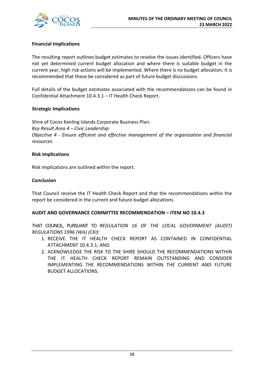

# **Financial Implications**

The resulting report outlines budget estimates to resolve the issues identified. Officers have not yet determined current budget allocation and where there is suitable budget in the current year, high risk actions will be implemented. Where there is no budget allocation, it is recommended that these be considered as part of future budget discussions.

Full details of the budget estimates associated with the recommendations can be found in Confidential Attachment 10.4.3.1 – IT Health Check Report.

# **Strategic Implications**

Shire of Cocos Keeling Islands Corporate Business Plan: *Key Result Area 4 – Civic Leadership Objective 4 - Ensure efficient and effective management of the organization and financial resources*

# **Risk Implications**

Risk implications are outlined within the report.

# **Conclusion**

That Council receive the IT Health Check Report and that the recommendations within the report be considered in the current and future budget allocations.

# **AUDIT AND GOVERNANCE COMMITTEE RECOMMENDATION – ITEM NO 10.4.3**

THAT COUNCIL, PURSUANT TO *REGULATION 16 OF THE LOCAL GOVERNMENT (AUDIT) REGULATIONS 1996 (WA) (CKI)*:

- 1. RECEIVE THE IT HEALTH CHECK REPORT AS CONTAINED IN CONFIDENTIAL ATTACHMENT 10.4.3.1; AND
- 2. ACKNOWLEDGE THE RISK TO THE SHIRE SHOULD THE RECOMMENDATIONS WITHIN THE IT HEALTH CHECK REPORT REMAIN OUTSTANDING AND CONSIDER IMPLEMENTING THE RECOMMENDATIONS WITHIN THE CURRENT AND FUTURE BUDGET ALLOCATIONS.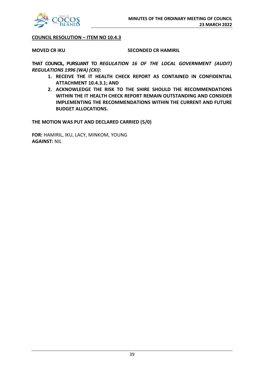

# **COUNCIL RESOLUTION – ITEM NO 10.4.3**

# **MOVED CR IKU SECONDED CR HAMIRIL**

**THAT COUNCIL, PURSUANT TO** *REGULATION 16 OF THE LOCAL GOVERNMENT (AUDIT) REGULATIONS 1996 (WA) (CKI)***:**

- **1. RECEIVE THE IT HEALTH CHECK REPORT AS CONTAINED IN CONFIDENTIAL ATTACHMENT 10.4.3.1; AND**
- **2. ACKNOWLEDGE THE RISK TO THE SHIRE SHOULD THE RECOMMENDATIONS WITHIN THE IT HEALTH CHECK REPORT REMAIN OUTSTANDING AND CONSIDER IMPLEMENTING THE RECOMMENDATIONS WITHIN THE CURRENT AND FUTURE BUDGET ALLOCATIONS.**

**THE MOTION WAS PUT AND DECLARED CARRIED (5/0)**

**FOR:** HAMIRIL, IKU, LACY, MINKOM, YOUNG **AGAINST:** NIL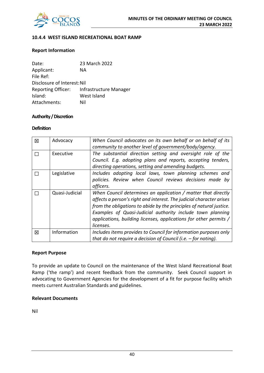

# **10.4.4 WEST ISLAND RECREATIONAL BOAT RAMP**

# **Report Information**

| Date:                       | 23 March 2022          |
|-----------------------------|------------------------|
| Applicant:                  | ΝA                     |
| File Ref:                   |                        |
| Disclosure of Interest: Nil |                        |
| <b>Reporting Officer:</b>   | Infrastructure Manager |
| Island:                     | West Island            |
| Attachments:                | Nil                    |

# **Authority / Discretion**

#### **Definition**

| 区 | Advocacy       | When Council advocates on its own behalf or on behalf of its<br>community to another level of government/body/agency.                                                                                                                                                                                                                                        |
|---|----------------|--------------------------------------------------------------------------------------------------------------------------------------------------------------------------------------------------------------------------------------------------------------------------------------------------------------------------------------------------------------|
| П | Executive      | The substantial direction setting and oversight role of the<br>Council. E.g. adopting plans and reports, accepting tenders,<br>directing operations, setting and amending budgets.                                                                                                                                                                           |
|   | Legislative    | Includes adopting local laws, town planning schemes and<br>policies. Review when Council reviews decisions made by<br>officers.                                                                                                                                                                                                                              |
|   | Quasi-Judicial | When Council determines an application / matter that directly<br>affects a person's right and interest. The judicial character arises<br>from the obligations to abide by the principles of natural justice.<br>Examples of Quasi-Judicial authority include town planning<br>applications, building licenses, applications for other permits /<br>licenses. |
| 区 | Information    | Includes items provides to Council for information purposes only<br>that do not require a decision of Council (i.e. $-$ for noting).                                                                                                                                                                                                                         |

# **Report Purpose**

To provide an update to Council on the maintenance of the West Island Recreational Boat Ramp ('the ramp') and recent feedback from the community. Seek Council support in advocating to Government Agencies for the development of a fit for purpose facility which meets current Australian Standards and guidelines.

# **Relevant Documents**

Nil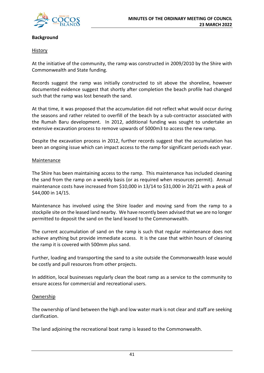

# **Background**

# History

At the initiative of the community, the ramp was constructed in 2009/2010 by the Shire with Commonwealth and State funding.

Records suggest the ramp was initially constructed to sit above the shoreline, however documented evidence suggest that shortly after completion the beach profile had changed such that the ramp was lost beneath the sand.

At that time, it was proposed that the accumulation did not reflect what would occur during the seasons and rather related to overfill of the beach by a sub-contractor associated with the Rumah Baru development. In 2012, additional funding was sought to undertake an extensive excavation process to remove upwards of 5000m3 to access the new ramp.

Despite the excavation process in 2012, further records suggest that the accumulation has been an ongoing issue which can impact access to the ramp for significant periods each year.

# Maintenance

The Shire has been maintaining access to the ramp. This maintenance has included cleaning the sand from the ramp on a weekly basis (or as required when resources permit). Annual maintenance costs have increased from \$10,000 in 13/14 to \$31,000 in 20/21 with a peak of \$44,000 in 14/15.

Maintenance has involved using the Shire loader and moving sand from the ramp to a stockpile site on the leased land nearby. We have recently been advised that we are no longer permitted to deposit the sand on the land leased to the Commonwealth.

The current accumulation of sand on the ramp is such that regular maintenance does not achieve anything but provide immediate access. It is the case that within hours of cleaning the ramp it is covered with 500mm plus sand.

Further, loading and transporting the sand to a site outside the Commonwealth lease would be costly and pull resources from other projects.

In addition, local businesses regularly clean the boat ramp as a service to the community to ensure access for commercial and recreational users.

# Ownership

The ownership of land between the high and low water mark is not clear and staff are seeking clarification.

The land adjoining the recreational boat ramp is leased to the Commonwealth.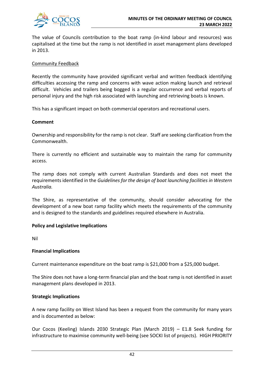

The value of Councils contribution to the boat ramp (in-kind labour and resources) was capitalised at the time but the ramp is not identified in asset management plans developed in 2013.

# Community Feedback

Recently the community have provided significant verbal and written feedback identifying difficulties accessing the ramp and concerns with wave action making launch and retrieval difficult. Vehicles and trailers being bogged is a regular occurrence and verbal reports of personal injury and the high risk associated with launching and retrieving boats is known.

This has a significant impact on both commercial operators and recreational users.

# **Comment**

Ownership and responsibility for the ramp is not clear. Staff are seeking clarification from the Commonwealth.

There is currently no efficient and sustainable way to maintain the ramp for community access.

The ramp does not comply with current Australian Standards and does not meet the requirements identified in the *Guidelines for the design of boat launching facilities in Western Australia.*

The Shire, as representative of the community, should consider advocating for the development of a new boat ramp facility which meets the requirements of the community and is designed to the standards and guidelines required elsewhere in Australia.

# **Policy and Legislative Implications**

Nil

# **Financial Implications**

Current maintenance expenditure on the boat ramp is \$21,000 from a \$25,000 budget.

The Shire does not have a long-term financial plan and the boat ramp is not identified in asset management plans developed in 2013.

#### **Strategic Implications**

A new ramp facility on West Island has been a request from the community for many years and is documented as below:

Our Cocos (Keeling) Islands 2030 Strategic Plan (March 2019) – E1.8 Seek funding for infrastructure to maximise community well-being (see SOCKI list of projects). HIGH PRIORITY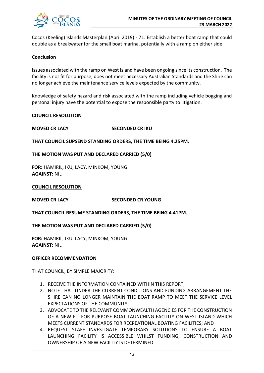

Cocos (Keeling) Islands Masterplan (April 2019) - 71. Establish a better boat ramp that could double as a breakwater for the small boat marina, potentially with a ramp on either side.

# **Conclusion**

Issues associated with the ramp on West Island have been ongoing since its construction. The facility is not fit for purpose, does not meet necessary Australian Standards and the Shire can no longer achieve the maintenance service levels expected by the community.

Knowledge of safety hazard and risk associated with the ramp including vehicle bogging and personal injury have the potential to expose the responsible party to litigation.

# **COUNCIL RESOLUTION**

# **MOVED CR LACY SECONDED CR IKU**

**THAT COUNCIL SUPSEND STANDING ORDERS, THE TIME BEING 4.25PM.**

# **THE MOTION WAS PUT AND DECLARED CARRIED (5/0)**

**FOR:** HAMIRIL, IKU, LACY, MINKOM, YOUNG **AGAINST:** NIL

#### **COUNCIL RESOLUTION**

**MOVED CR LACY SECONDED CR YOUNG**

**THAT COUNCIL RESUME STANDING ORDERS, THE TIME BEING 4.41PM.**

**THE MOTION WAS PUT AND DECLARED CARRIED (5/0)**

**FOR:** HAMIRIL, IKU, LACY, MINKOM, YOUNG **AGAINST:** NIL

#### **OFFICER RECOMMENDATION**

THAT COUNCIL, BY SIMPLE MAJORITY:

- 1. RECEIVE THE INFORMATION CONTAINED WITHIN THIS REPORT;
- 2. NOTE THAT UNDER THE CURRENT CONDITIONS AND FUNDING ARRANGEMENT THE SHIRE CAN NO LONGER MAINTAIN THE BOAT RAMP TO MEET THE SERVICE LEVEL EXPECTATIONS OF THE COMMUNITY;
- 3. ADVOCATE TO THE RELEVANT COMMONWEALTH AGENCIES FOR THE CONSTRUCTION OF A NEW FIT FOR PURPOSE BOAT LAUNCHING FACILITY ON WEST ISLAND WHICH MEETS CURRENT STANDARDS FOR RECREATIONAL BOATING FACILITIES; AND
- 4. REQUEST STAFF INVESTIGATE TEMPORARY SOLUTIONS TO ENSURE A BOAT LAUNCHING FACILITY IS ACCESSIBLE WHILST FUNDING, CONSTRUCTION AND OWNERSHIP OF A NEW FACILITY IS DETERMINED.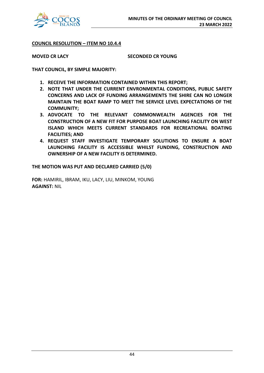

**COUNCIL RESOLUTION – ITEM NO 10.4.4**

**MOVED CR LACY SECONDED CR YOUNG**

**THAT COUNCIL, BY SIMPLE MAJORITY:**

- **1. RECEIVE THE INFORMATION CONTAINED WITHIN THIS REPORT;**
- **2. NOTE THAT UNDER THE CURRENT ENVRONMENTAL CONDITIONS, PUBLIC SAFETY CONCERNS AND LACK OF FUNDING ARRANGEMENTS THE SHIRE CAN NO LONGER MAINTAIN THE BOAT RAMP TO MEET THE SERVICE LEVEL EXPECTATIONS OF THE COMMUNITY;**
- **3. ADVOCATE TO THE RELEVANT COMMONWEALTH AGENCIES FOR THE CONSTRUCTION OF A NEW FIT FOR PURPOSE BOAT LAUNCHING FACILITY ON WEST ISLAND WHICH MEETS CURRENT STANDARDS FOR RECREATIONAL BOATING FACILITIES; AND**
- **4. REQUEST STAFF INVESTIGATE TEMPORARY SOLUTIONS TO ENSURE A BOAT LAUNCHING FACILITY IS ACCESSIBLE WHILST FUNDING, CONSTRUCTION AND OWNERSHIP OF A NEW FACILITY IS DETERMINED.**

**THE MOTION WAS PUT AND DECLARED CARRIED (5/0)**

**FOR:** HAMIRIL, IBRAM, IKU, LACY, LIU, MINKOM, YOUNG **AGAINST:** NIL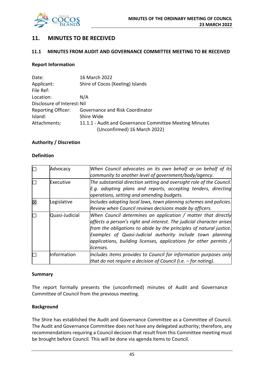

# **11. MINUTES TO BE RECEIVED**

# **11.1 MINUTES FROM AUDIT AND GOVERNANCE COMMITTEE MEETING TO BE RECEIVED**

# **Report Information**

| Date:                       | 16 March 2022                                           |  |
|-----------------------------|---------------------------------------------------------|--|
| Applicant:                  | Shire of Cocos (Keeling) Islands                        |  |
| File Ref:                   |                                                         |  |
| Location:                   | N/A                                                     |  |
| Disclosure of Interest: Nil |                                                         |  |
| <b>Reporting Officer:</b>   | Governance and Risk Coordinator                         |  |
| Island:                     | Shire Wide                                              |  |
| Attachments:                | 11.1.1 - Audit and Governance Committee Meeting Minutes |  |
|                             | (Unconfirmed) 16 March 2022)                            |  |

# **Authority / Discretion**

# **Definition**

| $\Box$      | Advocacy       | When Council advocates on its own behalf or on behalf of its              |
|-------------|----------------|---------------------------------------------------------------------------|
|             |                | community to another level of government/body/agency.                     |
| П           | Executive      | The substantial direction setting and oversight role of the Council.      |
|             |                | E.g. adopting plans and reports, accepting tenders, directing             |
|             |                | operations, setting and amending budgets.                                 |
| $\boxtimes$ | Legislative    | Includes adopting local laws, town planning schemes and policies.         |
|             |                | Review when Council reviews decisions made by officers.                   |
| Г           | Quasi-Judicial | When Council determines an application / matter that directly             |
|             |                | affects a person's right and interest. The judicial character arises      |
|             |                | from the obligations to abide by the principles of natural justice.       |
|             |                | Examples of Quasi-Judicial authority include town planning                |
|             |                | applications, building licenses, applications for other permits $\Lambda$ |
|             |                | licenses.                                                                 |
|             | Information    | Includes items provides to Council for information purposes only          |
|             |                | that do not require a decision of Council (i.e. $-$ for noting).          |

#### **Summary**

The report formally presents the (unconfirmed) minutes of Audit and Governance Committee of Council from the previous meeting.

# **Background**

The Shire has established the Audit and Governance Committee as a Committee of Council. The Audit and Governance Committee does not have any delegated authority; therefore, any recommendations requiring a Council decision that result from this Committee meeting must be brought before Council. This will be done via agenda items to Council.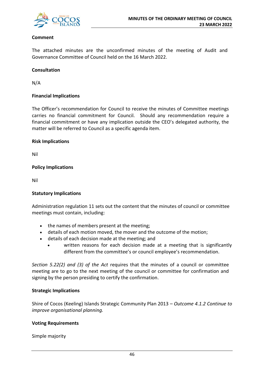

# **Comment**

The attached minutes are the unconfirmed minutes of the meeting of Audit and Governance Committee of Council held on the 16 March 2022.

# **Consultation**

N/A

# **Financial Implications**

The Officer's recommendation for Council to receive the minutes of Committee meetings carries no financial commitment for Council. Should any recommendation require a financial commitment or have any implication outside the CEO's delegated authority, the matter will be referred to Council as a specific agenda item.

# **Risk Implications**

Nil

# **Policy Implications**

Nil

# **Statutory Implications**

Administration regulation 11 sets out the content that the minutes of council or committee meetings must contain, including:

- the names of members present at the meeting;
- details of each motion moved, the mover and the outcome of the motion;
- details of each decision made at the meeting; and
	- written reasons for each decision made at a meeting that is significantly different from the committee's or council employee's recommendation.

*Section 5.22(2) and (3) of the Act* requires that the minutes of a council or committee meeting are to go to the next meeting of the council or committee for confirmation and signing by the person presiding to certify the confirmation.

# **Strategic Implications**

Shire of Cocos (Keeling) Islands Strategic Community Plan 2013 *– Outcome 4.1.2 Continue to improve organisational planning.*

# **Voting Requirements**

Simple majority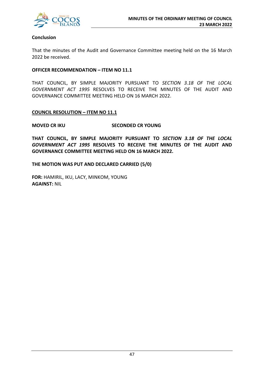

# **Conclusion**

That the minutes of the Audit and Governance Committee meeting held on the 16 March 2022 be received.

# **OFFICER RECOMMENDATION – ITEM NO 11.1**

THAT COUNCIL, BY SIMPLE MAJORITY PURSUANT TO *SECTION 3.18 OF THE LOCAL GOVERNMENT ACT 1995* RESOLVES TO RECEIVE THE MINUTES OF THE AUDIT AND GOVERNANCE COMMITTEE MEETING HELD ON 16 MARCH 2022.

# **COUNCIL RESOLUTION – ITEM NO 11.1**

# **MOVED CR IKU SECONDED CR YOUNG**

**THAT COUNCIL, BY SIMPLE MAJORITY PURSUANT TO** *SECTION 3.18 OF THE LOCAL GOVERNMENT ACT 1995* **RESOLVES TO RECEIVE THE MINUTES OF THE AUDIT AND GOVERNANCE COMMITTEE MEETING HELD ON 16 MARCH 2022.**

**THE MOTION WAS PUT AND DECLARED CARRIED (5/0)**

**FOR:** HAMIRIL, IKU, LACY, MINKOM, YOUNG **AGAINST:** NIL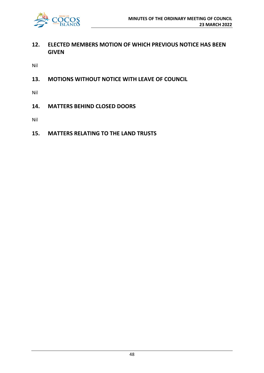

# **12. ELECTED MEMBERS MOTION OF WHICH PREVIOUS NOTICE HAS BEEN GIVEN**

Nil

**13. MOTIONS WITHOUT NOTICE WITH LEAVE OF COUNCIL**

Nil

**14. MATTERS BEHIND CLOSED DOORS**

Nil

**15. MATTERS RELATING TO THE LAND TRUSTS**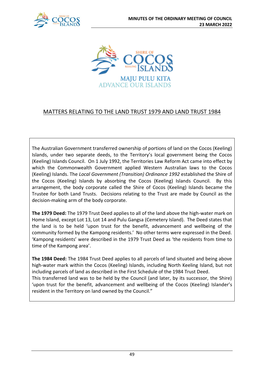



# MATTERS RELATING TO THE LAND TRUST 1979 AND LAND TRUST 1984

The Australian Government transferred ownership of portions of land on the Cocos (Keeling) Islands, under two separate deeds, to the Territory's local government being the Cocos (Keeling) Islands Council. On 1 July 1992, the Territories Law Reform Act came into effect by which the Commonwealth Government applied Western Australian laws to the Cocos (Keeling) Islands. The *Local Government (Transition) Ordinance 1992* established the Shire of the Cocos (Keeling) Islands by absorbing the Cocos (Keeling) Islands Council. By this arrangement, the body corporate called the Shire of Cocos (Keeling) Islands became the Trustee for both Land Trusts. Decisions relating to the Trust are made by Council as the decision-making arm of the body corporate.

**The 1979 Deed:** The 1979 Trust Deed applies to all of the land above the high-water mark on Home Island, except Lot 13, Lot 14 and Pulu Gangsa (Cemetery Island). The Deed states that the land is to be held 'upon trust for the benefit, advancement and wellbeing of the community formed by the Kampong residents.' No other terms were expressed in the Deed. 'Kampong residents' were described in the 1979 Trust Deed as 'the residents from time to time of the Kampong area'.

**The 1984 Deed:** The 1984 Trust Deed applies to all parcels of land situated and being above high-water mark within the Cocos (Keeling) Islands, including North Keeling Island, but not including parcels of land as described in the First Schedule of the 1984 Trust Deed. This transferred land was to be held by the Council (and later, by its successor, the Shire) 'upon trust for the benefit, advancement and wellbeing of the Cocos (Keeling) Islander's resident in the Territory on land owned by the Council."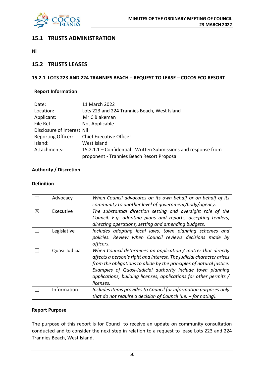

# **15.1 TRUSTS ADMINISTRATION**

Nil

# **15.2 TRUSTS LEASES**

# **15.2.1 LOTS 223 AND 224 TRANNIES BEACH – REQUEST TO LEASE – COCOS ECO RESORT**

# **Report Information**

| Date:                       | 11 March 2022                                                   |  |  |  |
|-----------------------------|-----------------------------------------------------------------|--|--|--|
| Location:                   | Lots 223 and 224 Trannies Beach, West Island                    |  |  |  |
| Applicant:                  | Mr C Blakeman                                                   |  |  |  |
| File Ref:                   | Not Applicable                                                  |  |  |  |
| Disclosure of Interest: Nil |                                                                 |  |  |  |
| <b>Reporting Officer:</b>   | <b>Chief Executive Officer</b>                                  |  |  |  |
| Island:                     | West Island                                                     |  |  |  |
| Attachments:                | 15.2.1.1 – Confidential - Written Submissions and response from |  |  |  |
|                             | proponent - Trannies Beach Resort Proposal                      |  |  |  |

# **Authority / Discretion**

# **Definition**

|             | Advocacy       | When Council advocates on its own behalf or on behalf of its         |
|-------------|----------------|----------------------------------------------------------------------|
|             |                | community to another level of government/body/agency.                |
| $\boxtimes$ | Executive      | The substantial direction setting and oversight role of the          |
|             |                | Council. E.g. adopting plans and reports, accepting tenders,         |
|             |                | directing operations, setting and amending budgets.                  |
|             | Legislative    | Includes adopting local laws, town planning schemes and              |
|             |                | policies. Review when Council reviews decisions made by              |
|             |                | officers.                                                            |
|             | Quasi-Judicial | When Council determines an application / matter that directly        |
|             |                | affects a person's right and interest. The judicial character arises |
|             |                | from the obligations to abide by the principles of natural justice.  |
|             |                | Examples of Quasi-Judicial authority include town planning           |
|             |                | applications, building licenses, applications for other permits /    |
|             |                | licenses.                                                            |
|             | Information    | Includes items provides to Council for information purposes only     |
|             |                | that do not require a decision of Council (i.e. $-$ for noting).     |

# **Report Purpose**

The purpose of this report is for Council to receive an update on community consultation conducted and to consider the next step in relation to a request to lease Lots 223 and 224 Trannies Beach, West Island.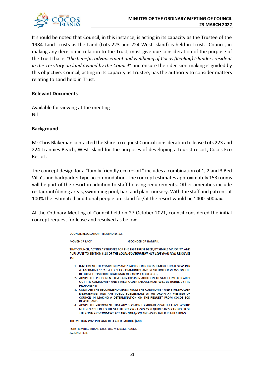

It should be noted that Council, in this instance, is acting in its capacity as the Trustee of the 1984 Land Trusts as the Land (Lots 223 and 224 West Island) is held in Trust. Council, in making any decision in relation to the Trust, must give due consideration of the purpose of the Trust that is *"the benefit, advancement and wellbeing of Cocos (Keeling) Islanders resident in the Territory on land owned by the Council"* and ensure their decision-making is guided by this objective. Council, acting in its capacity as Trustee, has the authority to consider matters relating to Land held in Trust.

# **Relevant Documents**

Available for viewing at the meeting Nil

# **Background**

Mr Chris Blakeman contacted the Shire to request Council consideration to lease Lots 223 and 224 Trannies Beach, West Island for the purposes of developing a tourist resort, Cocos Eco Resort.

The concept design for a "family friendly eco resort" includes a combination of 1, 2 and 3 Bed Villa's and backpacker type accommodation. The concept estimates approximately 153 rooms will be part of the resort in addition to staff housing requirements. Other amenities include restaurant/dining areas, swimming pool, bar, and plant nursery. With the staff and patrons at 100% the estimated additional people on island for/at the resort would be ~400-500pax.

At the Ordinary Meeting of Council held on 27 October 2021, council considered the initial concept request for lease and resolved as below:

> **COUNCIL RESOLUTION- ITEM NO 15.2.5 MOVED CR LACY SECONDED CR HAMIRIL** THAT COUNCIL ACTING AS TRUSTEE FOR THE 1984 TRUST DEED. BY SIMPLE MAJORITY, AND PURSUANT TO SECTION 3.18 OF THE LOCAL GOVERNMENT ACT 1995 (WA) (CKI) RESOLVES TO: 1. IMPLEMENT THE COMMUNITY AND STAKEHOLDER ENGAGEMENT STRATEGY AS PER ATTACHMENT 15.2.5.4 TO SEEK COMMUNITY AND STAKEHOLDER VIEWS ON THE REQUEST FROM CHRIS BLAKEMAN OF COCOS ECO RESORT: 2. ADVISE THE PROPONENT THAT ANY COSTS IN ADDITION TO STAFF TIME TO CARRY OUT THE COMMUNITY AND STAKEHOLDER ENGAGEMENT WILL BE BORNE BY THE **PROPONENT:** 3. CONSIDER THE RECOMMENDATIONS FROM THE COMMUNITY AND STAKEHOLDER ENGAGEMENT AND ANY PUBLIC SUBMISSIONS AT AN ORDINARY MEETING OF COUNCIL IN MAKING A DETERMINATION ON THE REQUEST FROM COCOS ECO **RESORT: AND** 4. ADVISE THE PROPONENT THAT ANY DECISION TO PROGRESS WITH A LEASE WOULD NEED TO ADHERE TO THE STATUTORY PROCESSES AS REQUIRED BY SECTION 3.58 OF THE LOCAL GOVERNMENT ACT 1995 (WA) (CKI) AND ASSOCIATED REGULATIONS. THE MOTION WAS PUT AND DECLARED CARRIED (6/0)

FOR: HAMIRIL, IBRAM, LACY, LIU, MINKOM, YOUNG **AGAINST: NIL**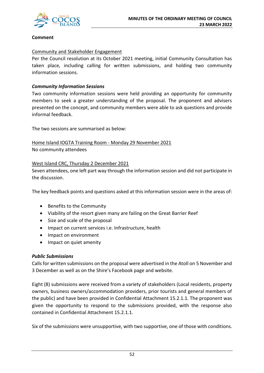

# **Comment**

# Community and Stakeholder Engagement

Per the Council resolution at its October 2021 meeting, initial Community Consultation has taken place, including calling for written submissions, and holding two community information sessions.

# *Community Information Sessions*

Two community information sessions were held providing an opportunity for community members to seek a greater understanding of the proposal. The proponent and advisers presented on the concept, and community members were able to ask questions and provide informal feedback.

The two sessions are summarised as below:

Home Island IOGTA Training Room - Monday 29 November 2021 No community attendees

# West Island CRC, Thursday 2 December 2021

Seven attendees, one left part way through the information session and did not participate in the discussion.

The key feedback points and questions asked at this information session were in the areas of:

- Benefits to the Community
- Viability of the resort given many are failing on the Great Barrier Reef
- Size and scale of the proposal
- Impact on current services i.e. Infrastructure, health
- Impact on environment
- Impact on quiet amenity

# *Public Submissions*

Calls for written submissions on the proposal were advertised in the Atoll on 5 November and 3 December as well as on the Shire's Facebook page and website.

Eight (8) submissions were received from a variety of stakeholders (Local residents, property owners, business owners/accommodation providers, prior tourists and general members of the public) and have been provided in Confidential Attachment 15.2.1.1. The proponent was given the opportunity to respond to the submissions provided, with the response also contained in Confidential Attachment 15.2.1.1.

Six of the submissions were unsupportive, with two supportive, one of those with conditions.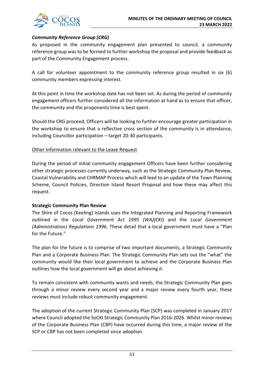

# *Community Reference Group (CRG)*

As proposed in the community engagement plan presented to council, a community reference group was to be formed to further workshop the proposal and provide feedback as part of the Community Engagement process.

A call for volunteer appointment to the community reference group resulted in six (6) community members expressing interest.

At this point in time the workshop date has not been set. As during the period of community engagement officers further considered all the information at hand as to ensure that officer, the community and the proponents time is best spent.

Should the CRG proceed, Officers will be looking to further encourage greater participation in the workshop to ensure that a reflective cross section of the community is in attendance, including Councillor participation – target 20-30 participants.

# Other Information relevant to the Lease Request

During the period of initial community engagement Officers have been further considering other strategic processes currently underway, such as the Strategic Community Plan Review, Coastal Vulnerability and CHRMAP Process which will lead to an update of the Town Planning Scheme, Council Policies, Direction Island Resort Proposal and how these may affect this request.

# **Strategic Community Plan Review**

The Shire of Cocos (Keeling) Islands uses the Integrated Planning and Reporting Framework outlined in the *Local Government Act 1995 (WA)(CKI)* and the *Local Government (Administration) Regulations 1996*. These detail that a local government must have a "Plan for the Future."

The plan for the future is to comprise of two important documents, a Strategic Community Plan and a Corporate Business Plan. The Strategic Community Plan sets out the "what" the community would like their local government to achieve and the Corporate Business Plan outlines how the local government will go about achieving it.

To remain consistent with community wants and needs, the Strategic Community Plan goes through a minor review every second year and a major review every fourth year, these reviews must include robust community engagement.

The adoption of the current Strategic Community Plan (SCP) was completed in January 2017 where Council adopted the SoCKI Strategic Community Plan 2016-2026. Whilst minor reviews of the Corporate Business Plan (CBP) have occurred during this time, a major review of the SCP or CBP has not been completed since adoption.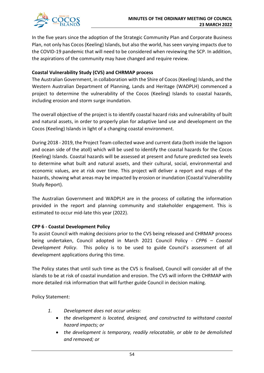

In the five years since the adoption of the Strategic Community Plan and Corporate Business Plan, not only has Cocos (Keeling) Islands, but also the world, has seen varying impacts due to the COVID-19 pandemic that will need to be considered when reviewing the SCP. In addition, the aspirations of the community may have changed and require review.

# **Coastal Vulnerability Study (CVS) and CHRMAP process**

The Australian Government, in collaboration with the Shire of Cocos (Keeling) Islands, and the Western Australian Department of Planning, Lands and Heritage (WADPLH) commenced a project to determine the vulnerability of the Cocos (Keeling) Islands to coastal hazards, including erosion and storm surge inundation.

The overall objective of the project is to identify coastal hazard risks and vulnerability of built and natural assets, in order to properly plan for adaptive land use and development on the Cocos (Keeling) Islands in light of a changing coastal environment.

During 2018 - 2019, the Project Team collected wave and current data (both inside the lagoon and ocean side of the atoll) which will be used to identify the coastal hazards for the Cocos (Keeling) Islands. Coastal hazards will be assessed at present and future predicted sea levels to determine what built and natural assets, and their cultural, social, environmental and economic values, are at risk over time. This project will deliver a report and maps of the hazards, showing what areas may be impacted by erosion or inundation (Coastal Vulnerability Study Report).

The Australian Government and WADPLH are in the process of collating the information provided in the report and planning community and stakeholder engagement. This is estimated to occur mid-late this year (2022).

# **CPP 6 - Coastal Development Policy**

To assist Council with making decisions prior to the CVS being released and CHRMAP process being undertaken, Council adopted in March 2021 Council Policy - *CPP6 – Coastal Development Policy*. This policy is to be used to guide Council's assessment of all development applications during this time.

The Policy states that until such time as the CVS is finalised, Council will consider all of the islands to be at risk of coastal inundation and erosion. The CVS will inform the CHRMAP with more detailed risk information that will further guide Council in decision making.

Policy Statement:

- *1. Development does not occur unless:*
	- *the development is located, designed, and constructed to withstand coastal hazard impacts; or*
	- *the development is temporary, readily relocatable, or able to be demolished and removed; or*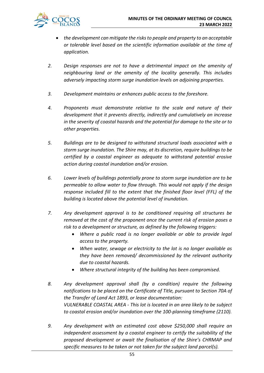

- *the development can mitigate the risks to people and property to an acceptable or tolerable level based on the scientific information available at the time of application.*
- *2. Design responses are not to have a detrimental impact on the amenity of neighbouring land or the amenity of the locality generally. This includes adversely impacting storm surge inundation levels on adjoining properties.*
- *3. Development maintains or enhances public access to the foreshore.*
- *4. Proponents must demonstrate relative to the scale and nature of their development that it prevents directly, indirectly and cumulatively an increase in the severity of coastal hazards and the potential for damage to the site or to other properties.*
- *5. Buildings are to be designed to withstand structural loads associated with a storm surge inundation. The Shire may, at its discretion, require buildings to be certified by a coastal engineer as adequate to withstand potential erosive action during coastal inundation and/or erosion.*
- *6. Lower levels of buildings potentially prone to storm surge inundation are to be permeable to allow water to flow through. This would not apply if the design response included fill to the extent that the finished floor level (FFL) of the building is located above the potential level of inundation.*
- *7. Any development approval is to be conditioned requiring all structures be removed at the cost of the proponent once the current risk of erosion poses a risk to a development or structure, as defined by the following triggers:*
	- *Where a public road is no longer available or able to provide legal access to the property.*
	- *When water, sewage or electricity to the lot is no longer available as they have been removed/ decommissioned by the relevant authority due to coastal hazards.*
	- *Where structural integrity of the building has been compromised.*
- *8. Any development approval shall (by a condition) require the following notifications to be placed on the Certificate of Title, pursuant to Section 70A of the Transfer of Land Act 1893, or lease documentation: VULNERABLE COASTAL AREA - This lot is located in an area likely to be subject to coastal erosion and/or inundation over the 100-planning timeframe (2110).*
- *9. Any development with an estimated cost above \$250,000 shall require an independent assessment by a coastal engineer to certify the suitability of the proposed development or await the finalisation of the Shire's CHRMAP and specific measures to be taken or not taken for the subject land parcel(s).*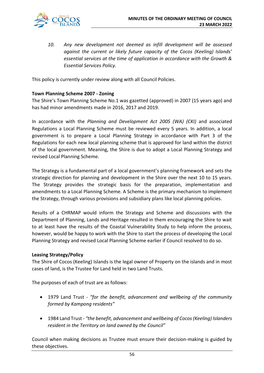

*10. Any new development not deemed as infill development will be assessed against the current or likely future capacity of the Cocos (Keeling) Islands' essential services at the time of application in accordance with the Growth & Essential Services Policy.* 

This policy is currently under review along with all Council Policies.

# **Town Planning Scheme 2007 - Zoning**

The Shire's Town Planning Scheme No.1 was gazetted (approved) in 2007 (15 years ago) and has had minor amendments made in 2016, 2017 and 2019.

In accordance with the *Planning and Development Act 2005 (WA) (CKI)* and associated Regulations a Local Planning Scheme must be reviewed every 5 years. In addition, a local government is to prepare a Local Planning Strategy in accordance with Part 3 of the Regulations for each new local planning scheme that is approved for land within the district of the local government. Meaning, the Shire is due to adopt a Local Planning Strategy and revised Local Planning Scheme.

The Strategy is a fundamental part of a local government's planning framework and sets the strategic direction for planning and development in the Shire over the next 10 to 15 years. The Strategy provides the strategic basis for the preparation, implementation and amendments to a Local Planning Scheme. A Scheme is the primary mechanism to implement the Strategy, through various provisions and subsidiary plans like local planning policies.

Results of a CHRMAP would inform the Strategy and Scheme and discussions with the Department of Planning, Lands and Heritage resulted in them encouraging the Shire to wait to at least have the results of the Coastal Vulnerability Study to help inform the process, however, would be happy to work with the Shire to start the process of developing the Local Planning Strategy and revised Local Planning Scheme earlier if Council resolved to do so.

# **Leasing Strategy/Policy**

The Shire of Cocos (Keeling) Islands is the legal owner of Property on the islands and in most cases of land, is the Trustee for Land held in two Land Trusts.

The purposes of each of trust are as follows:

- 1979 Land Trust *"for the benefit, advancement and wellbeing of the community formed by Kampong residents"*
- 1984 Land Trust *"the benefit, advancement and wellbeing of Cocos (Keeling) Islanders resident in the Territory on land owned by the Council"*

Council when making decisions as Trustee must ensure their decision-making is guided by these objectives.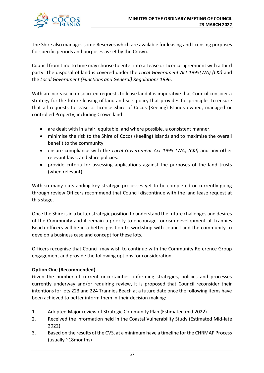

The Shire also manages some Reserves which are available for leasing and licensing purposes for specific periods and purposes as set by the Crown.

Council from time to time may choose to enter into a Lease or Licence agreement with a third party. The disposal of land is covered under the *Local Government Act 1995(WA) (CKI)* and the *Local Government (Functions and General) Regulations 1996*.

With an increase in unsolicited requests to lease land it is imperative that Council consider a strategy for the future leasing of land and sets policy that provides for principles to ensure that all requests to lease or licence Shire of Cocos (Keeling) Islands owned, managed or controlled Property, including Crown land:

- are dealt with in a fair, equitable, and where possible, a consistent manner.
- minimise the risk to the Shire of Cocos (Keeling) Islands and to maximise the overall benefit to the community.
- ensure compliance with the *Local Government Act 1995 (WA) (CKI)* and any other relevant laws, and Shire policies.
- provide criteria for assessing applications against the purposes of the land trusts (when relevant)

With so many outstanding key strategic processes yet to be completed or currently going through review Officers recommend that Council discontinue with the land lease request at this stage.

Once the Shire is in a better strategic position to understand the future challenges and desires of the Community and it remain a priority to encourage tourism development at Trannies Beach officers will be in a better position to workshop with council and the community to develop a business case and concept for these lots.

Officers recognise that Council may wish to continue with the Community Reference Group engagement and provide the following options for consideration.

# **Option One (Recommended)**

Given the number of current uncertainties, informing strategies, policies and processes currently underway and/or requiring review, it is proposed that Council reconsider their intentions for lots 223 and 224 Trannies Beach at a future date once the following items have been achieved to better inform them in their decision making:

- 1. Adopted Major review of Strategic Community Plan (Estimated mid 2022)
- 2. Received the information held in the Coastal Vulnerability Study (Estimated Mid-late 2022)
- 3. Based on the results of the CVS, at a minimum have a timeline for the CHRMAP Process (usually ~18months)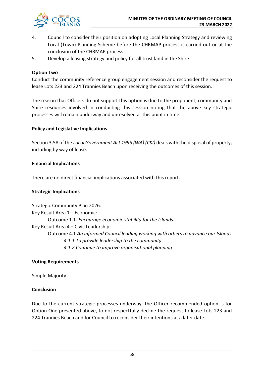

- 4. Council to consider their position on adopting Local Planning Strategy and reviewing Local (Town) Planning Scheme before the CHRMAP process is carried out or at the conclusion of the CHRMAP process
- 5. Develop a leasing strategy and policy for all trust land in the Shire.

# **Option Two**

Conduct the community reference group engagement session and reconsider the request to lease Lots 223 and 224 Trannies Beach upon receiving the outcomes of this session.

The reason that Officers do not support this option is due to the proponent, community and Shire resources involved in conducting this session noting that the above key strategic processes will remain underway and unresolved at this point in time.

# **Policy and Legislative Implications**

Section 3.58 of the *Local Government Act 1995 (WA) (CKI)* deals with the disposal of property, including by way of lease.

# **Financial Implications**

There are no direct financial implications associated with this report.

# **Strategic Implications**

Strategic Community Plan 2026: Key Result Area 1 – Economic: Outcome 1.1*. Encourage economic stability for the Islands.* Key Result Area 4 – Civic Leadership: Outcome 4.1 *An informed Council leading working with others to advance our Islands 4.1.1 To provide leadership to the community 4.1.2 Continue to improve organisational planning*

# **Voting Requirements**

Simple Majority

# **Conclusion**

Due to the current strategic processes underway, the Officer recommended option is for Option One presented above, to not respectfully decline the request to lease Lots 223 and 224 Trannies Beach and for Council to reconsider their intentions at a later date.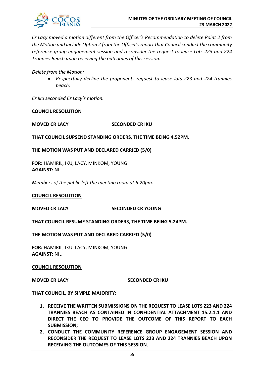

*Cr Lacy moved a motion different from the Officer's Recommendation to delete Point 2 from the Motion and include Option 2 from the Officer's report that Council conduct the community reference group engagement session and reconsider the request to lease Lots 223 and 224 Trannies Beach upon receiving the outcomes of this session.*

*Delete from the Motion:*

• *Respectfully decline the proponents request to lease lots 223 and 224 trannies beach;*

*Cr Iku seconded Cr Lacy's motion.*

#### **COUNCIL RESOLUTION**

#### **MOVED CR LACY SECONDED CR IKU**

**THAT COUNCIL SUPSEND STANDING ORDERS, THE TIME BEING 4.52PM.**

**THE MOTION WAS PUT AND DECLARED CARRIED (5/0)**

**FOR:** HAMIRIL, IKU, LACY, MINKOM, YOUNG **AGAINST:** NIL

*Members of the public left the meeting room at 5.20pm.*

#### **COUNCIL RESOLUTION**

**MOVED CR LACY SECONDED CR YOUNG**

**THAT COUNCIL RESUME STANDING ORDERS, THE TIME BEING 5.24PM.**

**THE MOTION WAS PUT AND DECLARED CARRIED (5/0)**

**FOR:** HAMIRIL, IKU, LACY, MINKOM, YOUNG **AGAINST:** NIL

#### **COUNCIL RESOLUTION**

**MOVED CR LACY SECONDED CR IKU**

**THAT COUNCIL, BY SIMPLE MAJORITY:**

- **1. RECEIVE THE WRITTEN SUBMISSIONS ON THE REQUEST TO LEASE LOTS 223 AND 224 TRANNIES BEACH AS CONTAINED IN CONFIDENTIAL ATTACHMENT 15.2.1.1 AND DIRECT THE CEO TO PROVIDE THE OUTCOME OF THIS REPORT TO EACH SUBMISSION;**
- **2. CONDUCT THE COMMUNITY REFERENCE GROUP ENGAGEMENT SESSION AND RECONSIDER THE REQUEST TO LEASE LOTS 223 AND 224 TRANNIES BEACH UPON RECEIVING THE OUTCOMES OF THIS SESSION.**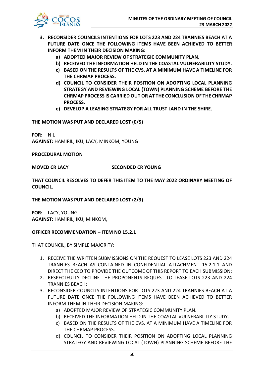

- **3. RECONSIDER COUNCILS INTENTIONS FOR LOTS 223 AND 224 TRANNIES BEACH AT A FUTURE DATE ONCE THE FOLLOWING ITEMS HAVE BEEN ACHIEVED TO BETTER INFORM THEM IN THEIR DECISION MAKING:**
	- **a) ADOPTED MAJOR REVIEW OF STRATEGIC COMMUNITY PLAN.**
	- **b) RECEIVED THE INFORMATION HELD IN THE COASTAL VULNERABILITY STUDY.**
	- **c) BASED ON THE RESULTS OF THE CVS, AT A MINIMUM HAVE A TIMELINE FOR THE CHRMAP PROCESS.**
	- **d) COUNCIL TO CONSIDER THEIR POSITION ON ADOPTING LOCAL PLANNING STRATEGY AND REVIEWING LOCAL (TOWN) PLANNING SCHEME BEFORE THE CHRMAP PROCESS IS CARRIED OUT OR AT THE CONCLUSION OF THE CHRMAP PROCESS.**
	- **e) DEVELOP A LEASING STRATEGY FOR ALL TRUST LAND IN THE SHIRE.**

# **THE MOTION WAS PUT AND DECLARED LOST (0/5)**

**FOR:** NIL **AGAINST:** HAMIRIL, IKU, LACY, MINKOM, YOUNG

# **PROCEDURAL MOTION**

# **MOVED CR LACY SECONDED CR YOUNG**

**THAT COUNCIL RESOLVES TO DEFER THIS ITEM TO THE MAY 2022 ORDINARY MEETING OF COUNCIL.**

# **THE MOTION WAS PUT AND DECLARED LOST (2/3)**

**FOR:** LACY, YOUNG **AGAINST:** HAMIRIL, IKU, MINKOM,

# **OFFICER RECOMMENDATION – ITEM NO 15.2.1**

THAT COUNCIL, BY SIMPLE MAJORITY:

- 1. RECEIVE THE WRITTEN SUBMISSIONS ON THE REQUEST TO LEASE LOTS 223 AND 224 TRANNIES BEACH AS CONTAINED IN CONFIDENTIAL ATTACHMENT 15.2.1.1 AND DIRECT THE CEO TO PROVIDE THE OUTCOME OF THIS REPORT TO EACH SUBMISSION;
- 2. RESPECTFULLY DECLINE THE PROPONENTS REQUEST TO LEASE LOTS 223 AND 224 TRANNIES BEACH;
- 3. RECONSIDER COUNCILS INTENTIONS FOR LOTS 223 AND 224 TRANNIES BEACH AT A FUTURE DATE ONCE THE FOLLOWING ITEMS HAVE BEEN ACHIEVED TO BETTER INFORM THEM IN THEIR DECISION MAKING:
	- a) ADOPTED MAJOR REVIEW OF STRATEGIC COMMUNITY PLAN.
	- b) RECEIVED THE INFORMATION HELD IN THE COASTAL VULNERABILITY STUDY.
	- c) BASED ON THE RESULTS OF THE CVS, AT A MINIMUM HAVE A TIMELINE FOR THE CHRMAP PROCESS.
	- d) COUNCIL TO CONSIDER THEIR POSITION ON ADOPTING LOCAL PLANNING STRATEGY AND REVIEWING LOCAL (TOWN) PLANNING SCHEME BEFORE THE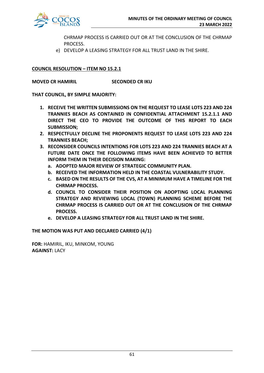

CHRMAP PROCESS IS CARRIED OUT OR AT THE CONCLUSION OF THE CHRMAP PROCESS.

e) DEVELOP A LEASING STRATEGY FOR ALL TRUST LAND IN THE SHIRE.

# **COUNCIL RESOLUTION – ITEM NO 15.2.1**

**MOVED CR HAMIRIL SECONDED CR IKU**

**THAT COUNCIL, BY SIMPLE MAJORITY:**

- **1. RECEIVE THE WRITTEN SUBMISSIONS ON THE REQUEST TO LEASE LOTS 223 AND 224 TRANNIES BEACH AS CONTAINED IN CONFIDENTIAL ATTACHMENT 15.2.1.1 AND DIRECT THE CEO TO PROVIDE THE OUTCOME OF THIS REPORT TO EACH SUBMISSION;**
- **2. RESPECTFULLY DECLINE THE PROPONENTS REQUEST TO LEASE LOTS 223 AND 224 TRANNIES BEACH;**
- **3. RECONSIDER COUNCILS INTENTIONS FOR LOTS 223 AND 224 TRANNIES BEACH AT A FUTURE DATE ONCE THE FOLLOWING ITEMS HAVE BEEN ACHIEVED TO BETTER INFORM THEM IN THEIR DECISION MAKING:**
	- **a. ADOPTED MAJOR REVIEW OF STRATEGIC COMMUNITY PLAN.**
	- **b. RECEIVED THE INFORMATION HELD IN THE COASTAL VULNERABILITY STUDY.**
	- **c. BASED ON THE RESULTS OF THE CVS, AT A MINIMUM HAVE A TIMELINE FOR THE CHRMAP PROCESS.**
	- **d. COUNCIL TO CONSIDER THEIR POSITION ON ADOPTING LOCAL PLANNING STRATEGY AND REVIEWING LOCAL (TOWN) PLANNING SCHEME BEFORE THE CHRMAP PROCESS IS CARRIED OUT OR AT THE CONCLUSION OF THE CHRMAP PROCESS.**
	- **e. DEVELOP A LEASING STRATEGY FOR ALL TRUST LAND IN THE SHIRE.**

**THE MOTION WAS PUT AND DECLARED CARRIED (4/1)**

**FOR:** HAMIRIL, IKU, MINKOM, YOUNG **AGAINST:** LACY